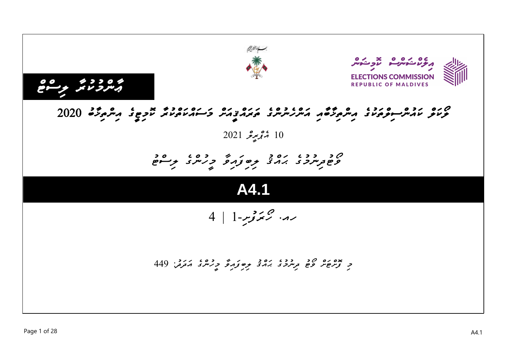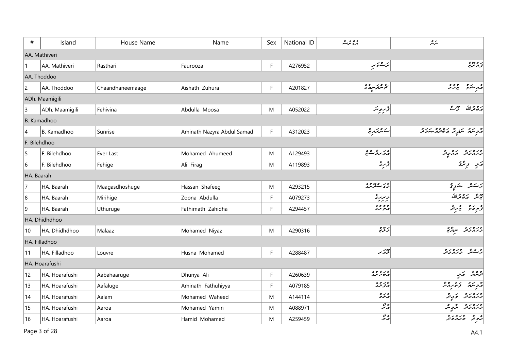| $\#$           | Island         | House Name       | Name                       | Sex         | National ID | ، ه ، مرگ                    | ىئرىتر                                                                                                                                                                                                                         |  |  |
|----------------|----------------|------------------|----------------------------|-------------|-------------|------------------------------|--------------------------------------------------------------------------------------------------------------------------------------------------------------------------------------------------------------------------------|--|--|
|                | AA. Mathiveri  |                  |                            |             |             |                              |                                                                                                                                                                                                                                |  |  |
|                | AA. Mathiveri  | Rasthari         | Faurooza                   | $\mathsf F$ | A276952     | ئر شوم بر                    | ر د دد و<br>از د سرج                                                                                                                                                                                                           |  |  |
|                | AA. Thoddoo    |                  |                            |             |             |                              |                                                                                                                                                                                                                                |  |  |
| 2              | AA. Thoddoo    | Chaandhaneemaage | Aishath Zuhura             | F           | A201827     | ۇ ئەر ئىرىر <i>ۇ ئ</i>       | ه در در در در در در برگزار در برگزار در برگزار در برگزار در برگزار در برگزار در برگزار در برگزار در برگزار در<br>مرکزار در برگزار در برگزار در برگزار در برگزار در برگزار در برگزار در برگزار در برگزار در برگزار در برگزار در |  |  |
|                | ADh. Maamigili |                  |                            |             |             |                              |                                                                                                                                                                                                                                |  |  |
| 3              | ADh. Maamigili | Fehivina         | Abdulla Moosa              | ${\sf M}$   | A052022     | ا در موسکه<br>ا              | مَدْهِ قَدْ اللّه وَ حَ                                                                                                                                                                                                        |  |  |
|                | B. Kamadhoo    |                  |                            |             |             |                              |                                                                                                                                                                                                                                |  |  |
|                | B. Kamadhoo    | Sunrise          | Aminath Nazyra Abdul Samad | F           | A312023     | سە ئىر ئىر ئ                 | و مرد مرز مرد ده در در د                                                                                                                                                                                                       |  |  |
| F. Bilehdhoo   |                |                  |                            |             |             |                              |                                                                                                                                                                                                                                |  |  |
| 5              | F. Bilehdhoo   | Ever Last        | Mohamed Ahumeed            | M           | A129493     | ى بە بەرگەت<br>مەركەت م      | ورەرو رەرو                                                                                                                                                                                                                     |  |  |
| 6              | F. Bilehdhoo   | Fehige           | Ali Firag                  | M           | A119893     | ۇر ئ                         | ړنو ویژو                                                                                                                                                                                                                       |  |  |
| HA. Baarah     |                |                  |                            |             |             |                              |                                                                                                                                                                                                                                |  |  |
| $\overline{7}$ | HA. Baarah     | Maagasdhoshuge   | Hassan Shafeeq             | M           | A293215     | بر ر صر و د<br>و ی سستمبر دی | پرستمبر مشروع                                                                                                                                                                                                                  |  |  |
| 8              | HA. Baarah     | Mirihige         | Zoona Abdulla              | F           | A079273     | حە مەرىج<br>مەمرىرى          | ج محمد كان محدد الله                                                                                                                                                                                                           |  |  |
| 9              | HA. Baarah     | Uthuruge         | Fathimath Zahidha          | F           | A294457     | د د د پر<br>پره پور          | تزجوخرة تتحريقه                                                                                                                                                                                                                |  |  |
|                | HA. Dhidhdhoo  |                  |                            |             |             |                              |                                                                                                                                                                                                                                |  |  |
| 10             | HA. Dhidhdhoo  | Malaaz           | Mohamed Niyaz              | ${\sf M}$   | A290316     | ترڅرنځ                       | כנפנ בית                                                                                                                                                                                                                       |  |  |
|                | HA. Filladhoo  |                  |                            |             |             |                              |                                                                                                                                                                                                                                |  |  |
| 11             | HA. Filladhoo  | Louvre           | Husna Mohamed              | F           | A288487     | دور<br>موح بو                | و مربر در در د<br>پرسوس دیربردند                                                                                                                                                                                               |  |  |
|                | HA. Hoarafushi |                  |                            |             |             |                              |                                                                                                                                                                                                                                |  |  |
| 12             | HA. Hoarafushi | Aabahaaruge      | Dhunya Ali                 | F           | A260639     | ه ر د و ،<br>د ځار بر د      | قرشرش كمامج                                                                                                                                                                                                                    |  |  |
| 13             | HA. Hoarafushi | Aafaluge         | Aminath Fathuhiyya         | F.          | A079185     | په رو ،<br>مرومو د           | أأوسكم وأوراد                                                                                                                                                                                                                  |  |  |
| 14             | HA. Hoarafushi | Aalam            | Mohamed Waheed             | M           | A144114     | پر ہ<br>پر نر                | وره رو در و                                                                                                                                                                                                                    |  |  |
| 15             | HA. Hoarafushi | Aaroa            | Mohamed Yamin              | M           | A088971     | پر حر                        | ورەرو گەچىگە                                                                                                                                                                                                                   |  |  |
| 16             | HA. Hoarafushi | Aaroa            | Hamid Mohamed              | M           | A259459     | پر جر                        | پژوند ورورو                                                                                                                                                                                                                    |  |  |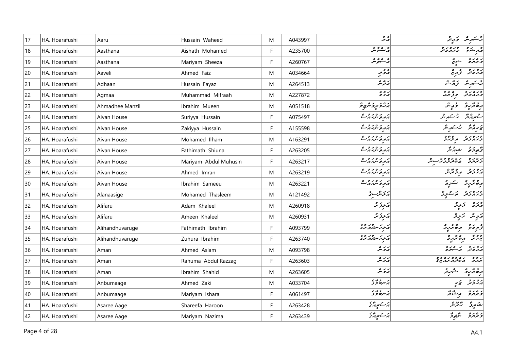| 17 | HA. Hoarafushi | Aaru            | Hussain Waheed        | M  | A043997 | پو بر<br>د بر                             | يز سكر مثل التحرير و التحرير الم                      |
|----|----------------|-----------------|-----------------------|----|---------|-------------------------------------------|-------------------------------------------------------|
|    |                |                 |                       |    |         | ۇ ھۇبىر                                   | پر ديگر د<br>در مشوجو<br>و رە ر د<br><i>د بر</i> گرىز |
| 18 | HA. Hoarafushi | Aasthana        | Aishath Mohamed       | F. | A235700 |                                           |                                                       |
| 19 | HA. Hoarafushi | Aasthana        | Mariyam Sheeza        | F  | A260767 | ۇ ھۇبىر                                   | ر ه بر ه<br>د <del>ب</del> ربر ژ<br>سنونج             |
| 20 | HA. Hoarafushi | Aaveli          | Ahmed Faiz            | M  | A034664 | اړځ مو                                    | ر ەر د<br>مەركىر<br>تۇر ج                             |
| 21 | HA. Hoarafushi | Adhaan          | Hussain Fayaz         | M  | A264513 | ىر ئەھ<br>مەقترىنتى                       | برسكىرىش كوترىشى                                      |
| 22 | HA. Hoarafushi | Agmaa           | Muhammad Mifraah      | M  | A227872 | دەء                                       | כנסנכ כליבכ<br>כממכת כלימי                            |
| 23 | HA. Hoarafushi | Ahmadhee Manzil | Ibrahim Mueen         | M  | A051518 | پره <sub>کو</sub> <sub>کو</sub> چرم چی څه | رە ئەر ئىس                                            |
| 24 | HA. Hoarafushi | Aivan House     | Suriyya Hussain       | F  | A075497 | ر بره برد و ه<br>مربو شربر ش              |                                                       |
| 25 | HA. Hoarafushi | Aivan House     | Zakiyya Hussain       | F  | A155598 | ىز مەكتەر ئەر                             | ىم رەش بر شىر ش                                       |
| 26 | HA. Hoarafushi | Aivan House     | Mohamed Ilham         | M  | A163291 | ر مره بر در م                             | כנסנכ בשם<br>כגבבת בבנב                               |
| 27 | HA. Hoarafushi | Aivan House     | Fathimath Shiuna      | F. | A263205 | بر بر ۱۵ در د ۱۵<br>مربره سربر بر         | ژ <sub>جوځ</sub> و مېرمنگ                             |
| 28 | HA. Hoarafushi | Aivan House     | Mariyam Abdul Muhusin | F  | A263217 | ر<br>مەر ئەسرىكەت                         | رە دە دە رە<br>ر ه ر ه<br><del>و</del> بربرو          |
| 29 | HA. Hoarafushi | Aivan House     | Ahmed Imran           | M  | A263219 | رَ بِرِ عَرَ مِرْحَمْ بِ                  | رەرو مەممىر                                           |
| 30 | HA. Hoarafushi | Aivan House     | Ibrahim Sameeu        | M  | A263221 | أمر مرحوف                                 | ە ھەترىر <sup>ە</sup><br>سنوج                         |
| 31 | HA. Hoarafushi | Alanaasige      | Mohamed Thasleem      | M  | A121492 | ىر ئەتەر سىز <sup>ى</sup>                 | ورەرو بر صور                                          |
| 32 | HA. Hoarafushi | Alifaru         | Adam Khaleel          | M  | A260918 | بزىر نر                                   | پور ہ<br>م <i>ر</i> قرو<br>تزوٍوٌ                     |
| 33 | HA. Hoarafushi | Alifaru         | Ameen Khaleel         | M  | A260931 | مَعِرْمَهُ                                | ړ <sub>چ</sub> ی زېږو                                 |
| 34 | HA. Hoarafushi | Alihandhuvaruge | Fathimath Ibrahim     | F. | A093799 | پر بر سرچر د ،                            | ومجدد مقتربة                                          |
| 35 | HA. Hoarafushi | Alihandhuvaruge | Zuhura Ibrahim        | F. | A263740 | د کور سرچر د د د                          |                                                       |
| 36 | HA. Hoarafushi | Aman            | Ahmed Aslam           | M  | A093798 | برىر ھ                                    | رەرد رەرە                                             |
| 37 | HA. Hoarafushi | Aman            | Rahuma Abdul Razzag   | F  | A263603 | برىر ھ                                    | נ כשני פסינס שיב<br>בגב"ם משינות בנושה                |
| 38 | HA. Hoarafushi | Aman            | Ibrahim Shahid        | M  | A263605 | برىر ھ                                    | رە ئەر ئىسىمى ئىسىم                                   |
| 39 | HA. Hoarafushi | Anbumaage       | Ahmed Zaki            | M  | A033704 | ر د ده<br>رسمه د د                        |                                                       |
| 40 | HA. Hoarafushi | Anbumaage       | Mariyam Ishara        | F  | A061497 | ر د ده<br>رسمه د د                        | ومده مشمر                                             |
| 41 | HA. Hoarafushi | Asaree Aage     | Shareefa Haroon       | F. | A263428 | ىز سەئىرەترى<br>م                         | پر دو ه<br>رنجو پس<br>  شەمبرۇ                        |
| 42 | HA. Hoarafushi | Asaree Aage     | Mariyam Nazima        | F  | A263439 | ىز سەئىرە <sup>مىي</sup>                  | رەرە شەر                                              |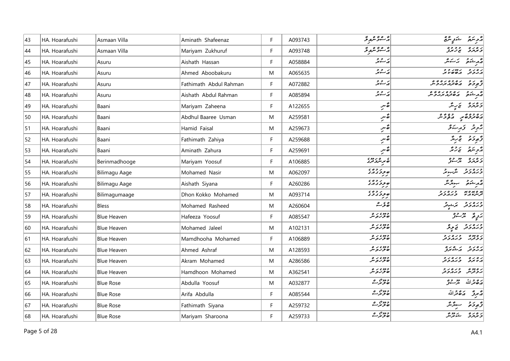| 43 | HA. Hoarafushi | Asmaan Villa       | Aminath Shafeenaz      | F         | A093743 | ا پر ۱۳۵۵ مختلف میگر<br>مربع مسلم     | أأرد سكو المستور المرجح                                  |
|----|----------------|--------------------|------------------------|-----------|---------|---------------------------------------|----------------------------------------------------------|
| 44 | HA. Hoarafushi | Asmaan Villa       | Mariyam Zukhuruf       | F         | A093748 | ۇ مەمۇسى <i>ي ۋ</i>                   | ر ه ر ه<br>د بر در<br>ح ج حر ح و<br>سي مر سمر تو         |
| 45 | HA. Hoarafushi | Asuru              | Aishath Hassan         | F         | A058884 | ەرىيە                                 | مەر خوم ئەسكەش                                           |
| 46 | HA. Hoarafushi | Asuru              | Ahmed Aboobakuru       | M         | A065635 | ەرىيە                                 | 77/27/<br>پروژو                                          |
| 47 | HA. Hoarafushi | Asuru              | Fathimath Abdul Rahman | F         | A072882 | ەرىيەتە                               | ره وه ره د ه<br>پره تربر تر تر تر<br>وٌ جو تر ح          |
| 48 | HA. Hoarafushi | Asuru              | Aishath Abdul Rahman   | F         | A085894 | ەر جەنبە                              | ر ه و و ه ر ه و ه<br>پره تعربر تر س<br>ر<br>دگرار شوهی   |
| 49 | HA. Hoarafushi | Baani              | Mariyam Zaheena        | F         | A122655 | ځ سر<br>ر                             | دەرە ئەربىر                                              |
| 50 | HA. Hoarafushi | Baani              | Abdhul Baaree Usman    | ${\sf M}$ | A259581 | ځ سر<br>ر                             | גפרפש בפרים                                              |
| 51 | HA. Hoarafushi | Baani              | Hamid Faisal           | ${\sf M}$ | A259673 | اقع میر                               | أجمع قاربتك                                              |
| 52 | HA. Hoarafushi | Baani              | Fathimath Zahiya       | F         | A259688 | اڤبير                                 | قَە ئەڭ ئىم ئە                                           |
| 53 | HA. Hoarafushi | Baani              | Aminath Zahura         | F         | A259691 | ة<br>ماس                              | أزويته بالمردع                                           |
| 54 | HA. Hoarafushi | Berinmadhooge      | Mariyam Yoosuf         | F         | A106885 | م مر شرود بر<br>  حا مر شریحه تعری    | נ סינים ומי כם<br>בינו <i>נים ונגי</i> ת                 |
| 55 | HA. Hoarafushi | Bilimagu Aage      | Mohamed Nasir          | ${\sf M}$ | A062097 | ر و ده و<br>مرگ د د                   | ورەرو شەر                                                |
| 56 | HA. Hoarafushi | Bilimagu Aage      | Aishath Siyana         | F         | A260286 | د د ده د<br>حو <del>ز</del> د د د     | مەرشۇق سىرتىر                                            |
| 57 | HA. Hoarafushi | Bilimagumaage      | Dhon Kokko Mohamed     | M         | A093714 | c <i>\$ ? }</i><br>5 } 5 } <b>}</b> 0 | ה מאמא - כנסנד<br>בניינונגיו - כאמכבר                    |
| 58 | HA. Hoarafushi | <b>Bless</b>       | Mohamed Rasheed        | M         | A260604 | ەبۇر                                  | وره رو کردو                                              |
| 59 | HA. Hoarafushi | <b>Blue Heaven</b> | Hafeeza Yoosuf         | F         | A085547 | و دو پر رہ<br>ج <i>ا محر پی</i> مگر   | پرَ پِی تِمْ پِی تِمْ تِمْ تَوَ                          |
| 60 | HA. Hoarafushi | <b>Blue Heaven</b> | Mohamed Jaleel         | M         | A102131 | و دو ، ر<br>ح تر ر ح س                | ورەرو رو                                                 |
| 61 | HA. Hoarafushi | <b>Blue Heaven</b> | Mamdhooha Mohamed      | F         | A106889 | و دو ، ر<br>ن مور د مر                | و ر ه ر د<br>تر پر ژنر<br>ر ه دونو.<br>تر تر تر          |
| 62 | HA. Hoarafushi | Blue Heaven        | Ahmed Ashraf           | M         | A128593 | و دو پار ه<br>ت <i>ه محر پار</i>      | رەرد كەشىر                                               |
| 63 | HA. Hoarafushi | <b>Blue Heaven</b> | Akram Mohamed          | M         | A286586 | و دو پر رہ<br>ج <i>و پ</i> ر جر س     | و ره ر د<br>تر پر ژنر<br>بره بره<br>مرکوبری              |
| 64 | HA. Hoarafushi | <b>Blue Heaven</b> | Hamdhoon Mohamed       | ${\sf M}$ | A362541 | و دو ، ر ه<br>ن <i>ن تر د</i> ر       | ر ه دو ه<br>بر <del>و</del> تر س<br>و رە ر د<br>تر پروتر |
| 65 | HA. Hoarafushi | <b>Blue Rose</b>   | Abdulla Yoosuf         | ${\sf M}$ | A032877 | و دوم ه<br>حامز مرگ                   | برە تراللە<br>ېزىستۇ                                     |
| 66 | HA. Hoarafushi | <b>Blue Rose</b>   | Arifa Abdulla          | F         | A085544 | و دوم ه<br>حامز مرگ                   | برە قراللە<br>ەتىرىق                                     |
| 67 | HA. Hoarafushi | <b>Blue Rose</b>   | Fathimath Siyana       | F         | A259732 | و دوم ه<br>چونور ه                    | ء مر د<br>ترموخ <i>م</i> و<br>سىدىگە<br>پە               |
| 68 | HA. Hoarafushi | <b>Blue Rose</b>   | Mariyam Sharoona       | F         | A259733 | و دوم ه<br>حامز ښه                    | ر ه ر ه<br><del>د</del> بربرگر<br>شە چە تەر              |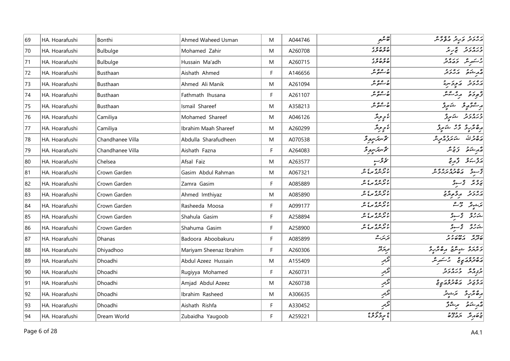| 69 | HA. Hoarafushi | Bonthi           | Ahmed Waheed Usman      | M  | A044746 | ەھىر                                         | ر و د د د ده ده و                                                              |
|----|----------------|------------------|-------------------------|----|---------|----------------------------------------------|--------------------------------------------------------------------------------|
| 70 | HA. Hoarafushi | Bulbulge         | Mohamed Zahir           | M  | A260708 | د ه د ه ،<br>صوصو د                          | دره د د ځريز                                                                   |
| 71 | HA. Hoarafushi | <b>Bulbulge</b>  | Hussain Ma'adh          | M  | A260715 | د ه د ه ،<br>صوصور                           | 2011 האוליק                                                                    |
| 72 | HA. Hoarafushi | Busthaan         | Aishath Ahmed           | F  | A146656 | ە مەھمەر                                     | مەر ئىستومى ئەركىتى                                                            |
| 73 | HA. Hoarafushi | Busthaan         | Ahmed Ali Manik         | M  | A261094 | ە مەھمەر                                     | הכבית התבייתי                                                                  |
| 74 | HA. Hoarafushi | Busthaan         | Fathmath Ihusana        | F  | A261107 | و مۇمۇمىر                                    | ق ده مد شم                                                                     |
| 75 | HA. Hoarafushi | Busthaan         | Ismail Shareef          | M  | A358213 | ە مەھ بىر<br>ھ                               | بر شۇرچە ھەمرۇ                                                                 |
| 76 | HA. Hoarafushi | Camiliya         | Mohamed Shareef         | M  | A046126 | ءَ <sub>حب</sub> و پڙ                        | ورەرو ئىيرو                                                                    |
| 77 | HA. Hoarafushi | Camiliya         | Ibrahim Maah Shareef    | M  | A260299 | ء<br>موجود                                   | ە <i>ئەرە بەر خىرى</i><br>مەمرىر دىر خىرى                                      |
| 78 | HA. Hoarafushi | Chandhanee Villa | Abdulla Sharafudheen    | M  | A070538 | ڭۇستىر سرەپە ق                               | رە داللە ھەمرومىيەر<br>مەھىراللە ھەمر <i>ومىي</i> ىر                           |
| 79 | HA. Hoarafushi | Chandhanee Villa | Aishath Fazna           | F  | A264083 | ە ئىرىزىرى ئى                                | أقهر يشوهوا الراح متر                                                          |
| 80 | HA. Hoarafushi | Chelsea          | Afsal Faiz              | M  | A263577 | كجوعب                                        | أروب ومحمد ومردمي                                                              |
| 81 | HA. Hoarafushi | Crown Garden     | Gasim Abdul Rahman      | M  | A067321 | د ۵ ه و په و<br>پاغرمبر <sub>ي</sub> مرو مګر | ه و ده ده ده ده و.<br>تحسن مقدم مدرس                                           |
| 82 | HA. Hoarafushi | Crown Garden     | Zamra Gasim             | F  | A085889 | د <i>۵ ۵ و.</i><br>پانترسرتی مربع میر        | پره پر پژگسور                                                                  |
| 83 | HA. Hoarafushi | Crown Garden     | Ahmed Imthiyaz          | M  | A085890 | د <i>۵ ۵ و.</i><br>پانترسرتی مربع میر        | גפנב תכתחת                                                                     |
| 84 | HA. Hoarafushi | Crown Garden     | Rasheeda Moosa          | F  | A099177 | د <sup>0</sup> 0 ° پر <sup>ی</sup> مر        | وحر معه<br>ىر ئىسىدىگر                                                         |
| 85 | HA. Hoarafushi | Crown Garden     | Shahula Gasim           | F  | A258894 | د <i>0 0 مر</i><br>پرېښونه پېړۍ مېر          | خۇرگۇ گۇسۇ                                                                     |
| 86 | HA. Hoarafushi | Crown Garden     | Shahuma Gasim           | F  | A258900 | و <i>0 ە بو</i><br>بويىرىگە ئىرقا بىر        | شەرىخ ئۇسىۋ                                                                    |
| 87 | HA. Hoarafushi | Dhanas           | Badoora Aboobakuru      | F  | A085899 | ترىئرىشە                                     | נחת נחנים<br>סנג נססטיג                                                        |
| 88 | HA. Hoarafushi | Dhiyadhoo        | Mariyam Sheenaz Ibrahim | F  | A260306 | ر دو<br>تر بر تر                             |                                                                                |
| 89 | HA. Hoarafushi | Dhoadhi          | Abdul Azeez Hussain     | M  | A155409 | ج<br>تومر                                    | גם כפג <sub>וץ</sub> בין הריק בריק האיריק.<br>הסת <i>יכ</i> ה <sub>בון</sub> ה |
| 90 | HA. Hoarafushi | Dhoadhi          | Rugiyya Mohamed         | F  | A260731 | م<br>مومر                                    | כ פי כנסניב<br>תצמת כממכת                                                      |
| 91 | HA. Hoarafushi | Dhoadhi          | Amjad Abdul Azeez       | M  | A260738 | ە<br>تۈبىر                                   | رەر د رەدەر پە                                                                 |
| 92 | HA. Hoarafushi | Dhoadhi          | Ibrahim Rasheed         | M  | A306635 | ج<br>تومر                                    | رە ئرىر ئىسىر                                                                  |
| 93 | HA. Hoarafushi | Dhoadhi          | Aishath Rishfa          | F. | A330452 | ج<br>توفر                                    | د ديدة موشورٌ<br>د مرشوم موشورٌ                                                |
| 94 | HA. Hoarafushi | Dream World      | Zubaidha Yaugoob        | F. | A259221 | ه په ده وه وه<br>نام پرد و لرو               | י הרבי הרבים                                                                   |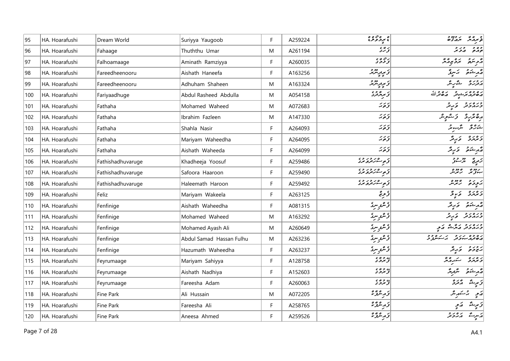| 95  | HA. Hoarafushi | Dream World       | Suriyya Yaugoob          | F         | A259224 | $\left  \begin{array}{cc} 0 & 0 & 0 & 0 \\ 2 & 9 & 9 & 8 \\ 1 & 0 & 0 & 8 \end{array} \right $ | ב כב הבביב<br>הבתה הבבים                             |
|-----|----------------|-------------------|--------------------------|-----------|---------|------------------------------------------------------------------------------------------------|------------------------------------------------------|
| 96  | HA. Hoarafushi | Fahaage           | Thuththu Umar            | M         | A261194 | ۇرەي                                                                                           | 202 202<br>202 202                                   |
| 97  | HA. Hoarafushi | Falhoamaage       | Aminath Ramziyya         | F         | A260035 | ر 0 پر ء<br>توغر <del>و</del> ي                                                                | بروبي وهجر<br>أرمره                                  |
| 98  | HA. Hoarafushi | Fareedheenooru    | Aishath Haneefa          | F         | A163256 | ۇ پرېږېترىر                                                                                    | پ <sup>و</sup> پر شوې<br>برسور                       |
| 99  | HA. Hoarafushi | Fareedheenooru    | Adhuham Shaheen          | M         | A163324 | ۇ پرېږىترىر                                                                                    | روره څرینگر                                          |
| 100 | HA. Hoarafushi | Fariyaadhuge      | Abdul Rasheed Abdulla    | M         | A054158 | ر<br>تو <sub>مو</sub> مر در د                                                                  | رە دە ئرمۇسى ئەھمەللە                                |
| 101 | HA. Hoarafushi | Fathaha           | Mohamed Waheed           | ${\sf M}$ | A072683 | ئە ئەر<br>ئوخ                                                                                  | وره رو در و<br> وبرارونر کوبرنر                      |
| 102 | HA. Hoarafushi | Fathaha           | Ibrahim Fazleen          | ${\sf M}$ | A147330 | ئە ئەر<br>ئوخ                                                                                  | رەتزىر ئىشرىر                                        |
| 103 | HA. Hoarafushi | Fathaha           | Shahla Nasir             | F         | A264093 | زیر بر                                                                                         | لشروعي المريديز                                      |
| 104 | HA. Hoarafushi | Fathaha           | Mariyam Waheedha         | F         | A264095 | ۇەبر                                                                                           | كالمحتملات المحاريم                                  |
| 105 | HA. Hoarafushi | Fathaha           | Aishath Waheeda          | F         | A264099 | ترەپر                                                                                          | أقهر مشقو المحارقة                                   |
| 106 | HA. Hoarafushi | Fathishadhuvaruge | Khadheeja Yoosuf         | F         | A259486 | تو چې سر د بر د د<br>  تو چې سر مربو مربي                                                      | زَمِرِيحَ "دَرْ-رُمْرُ                               |
| 107 | HA. Hoarafushi | Fathishadhuvaruge | Safoora Haaroon          | F         | A259490 | ر م رور و ،<br>د م سورتره بر ،                                                                 | ردوی دوره                                            |
| 108 | HA. Hoarafushi | Fathishadhuvaruge | Haleemath Haroon         | F         | A259492 | ز <sub>مو</sub> ے تروروی                                                                       | ړ ده په ده و                                         |
| 109 | HA. Hoarafushi | Feliz             | Mariyam Wakeela          | F         | A263125 | تزمرج                                                                                          | دەرە ئەرگە                                           |
| 110 | HA. Hoarafushi | Fenfinige         | Aishath Waheedha         | F         | A081315 | ومثربية                                                                                        | وكرمشكم وكرفر                                        |
| 111 | HA. Hoarafushi | Fenfinige         | Mohamed Waheed           | ${\sf M}$ | A163292 | ژىئرى <sub>مى</sub> ئ                                                                          | دره رو در در                                         |
| 112 | HA. Hoarafushi | Fenfinige         | Mohamed Ayash Ali        | M         | A260649 | ۇشرېبرگە                                                                                       | כנסג כ גם ס גב                                       |
| 113 | HA. Hoarafushi | Fenfinige         | Abdul Samad Hassan Fulhu | M         | A263236 | ۇ ش <sub>ەر س</sub> ىئە<br>                                                                    | ره وه بربر و بر بر دو و<br>پره توپر بیدونو بر بر تری |
| 114 | HA. Hoarafushi | Fenfinige         | Hazumath Waheedha        | F         | A263237 | ڈیٹروینز                                                                                       | پرور و پرتگ                                          |
| 115 | HA. Hoarafushi | Feyrumaage        | Mariyam Sahiyya          | F         | A128758 | در و در د<br>تو بورس                                                                           | ستهره پی<br>ر ه ر ه<br><del>ر</del> بربرگر           |
| 116 | HA. Hoarafushi | Feyrumaage        | Aishath Nadhiya          | F         | A152603 | ړ، و د ،<br>تو برو د                                                                           | وكرم شكور والمتفران                                  |
| 117 | HA. Hoarafushi | Feyrumaage        | Fareesha Adam            | F         | A260063 | در و در د<br>تو بورس ی                                                                         | پر ہ<br>مرکز<br> <br>د سمپیشه<br>                    |
| 118 | HA. Hoarafushi | <b>Fine Park</b>  | Ali Hussain              | ${\sf M}$ | A072205 | ئەر شۇر ئ                                                                                      | ەيدىن ئەسكىرىنى                                      |
| 119 | HA. Hoarafushi | Fine Park         | Fareesha Ali             | F         | A258765 | ئەمرىشۇر<br>                                                                                   | ترىرىدىگە<br>ەكىپىيە                                 |
| 120 | HA. Hoarafushi | Fine Park         | Aneesa Ahmed             | F         | A259526 | ئەمرىشى ئە                                                                                     | أرسية أرورة                                          |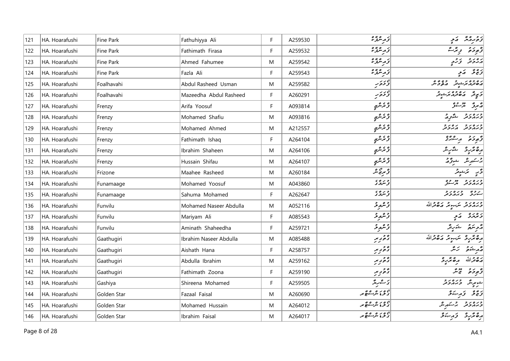| 121 | HA. Hoarafushi | Fine Park   | Fathuhiyya Ali         | $\mathsf F$ | A259530 | ىر مەدەر<br>قىرىشلەر                                     | زوره پر کم                              |
|-----|----------------|-------------|------------------------|-------------|---------|----------------------------------------------------------|-----------------------------------------|
| 122 | HA. Hoarafushi | Fine Park   | Fathimath Firasa       | F           | A259532 | ز <sub>مرس</sub> وره<br>د <sub>مر</sub> سرز <sup>ر</sup> | قرموخرة وبترسة                          |
| 123 | HA. Hoarafushi | Fine Park   | Ahmed Fahumee          | M           | A259542 | ز <sub>ىر شرى</sub> رە                                   | أرەر د                                  |
| 124 | HA. Hoarafushi | Fine Park   | Fazla Ali              | F           | A259543 | ا <i>قەر شۇ</i> ر                                        | وُجڻ گي                                 |
| 125 | HA. Hoarafushi | Foalhavahi  | Abdul Rasheed Usman    | M           | A259582 | <br>وی تحقی                                              | קס פס קביבת הקבים.<br>הסנקה קביבת הקבית |
| 126 | HA. Hoarafushi | Foalhavahi  | Mazeedha Abdul Rasheed | F           | A260291 | ەر بەر<br><mark>ئ</mark> ۇغە قەس                         | <br>  د پوتر به ده د د برخونه           |
| 127 | HA. Hoarafushi | Frenzy      | Arifa Yoosuf           | F           | A093814 | وبرمىسي                                                  | ە ئىرۇ ھەسىرو                           |
| 128 | HA. Hoarafushi | Frenzy      | Mohamed Shafiu         | ${\sf M}$   | A093816 | ە ئ <sub>ە</sub> ش <sub>ى</sub> پى                       | ورەرو ئۇرۇ                              |
| 129 | HA. Hoarafushi | Frenzy      | Mohamed Ahmed          | ${\sf M}$   | A212557 | وبرمري                                                   | כנסנכ נסנכ<br>כגמכת הגכת                |
| 130 | HA. Hoarafushi | Frenzy      | Fathimath Ishaq        | F           | A264104 | وبزىئر                                                   | أقبوحهم وستنزع                          |
| 131 | HA. Hoarafushi | Frenzy      | Ibrahim Shaheen        | M           | A264106 | ه ، ه ه<br>ز نر سر <sub>م</sub> ج                        | رەنزىر شىر                              |
| 132 | HA. Hoarafushi | Frenzy      | Hussain Shifau         | M           | A264107 | ه ، ه ه<br>از مرس                                        | چرىكى ھەقىمى<br>مەسكىرىش ھەقەم          |
| 133 | HA. Hoarafushi | Frizone     | Maahee Rasheed         | M           | A260184 | و <sub>مر</sub> چ مګر                                    | گچ پر سمگھر                             |
| 134 | HA. Hoarafushi | Funamaage   | Mohamed Yoosuf         | M           | A043860 | و ر د ،<br>توسرچ <sub>ک</sub>                            | כנים ג'ב בכי<br>בג'הבה, "הג'ינ          |
| 135 | HA. Hoarafushi | Funamaage   | Sahuma Mohamed         | F           | A262647 | و ر د د<br>و سرچ د                                       |                                         |
| 136 | HA. Hoarafushi | Funvilu     | Mohamed Naseer Abdulla | ${\sf M}$   | A052116 | از م <sub>نگرم</sub> ز                                   | وبروبرد ترجيعه وكامرالله                |
| 137 | HA. Hoarafushi | Funvilu     | Mariyam Ali            | F           | A085543 | ۇ ئىرو ئى                                                | د ۱۳ په په کړې                          |
| 138 | HA. Hoarafushi | Funvilu     | Aminath Shaheedha      | F           | A259721 | ۇ ئىرو ئى                                                | أأرجو ستريته                            |
| 139 | HA. Hoarafushi | Gaathugiri  | Ibrahim Naseer Abdulla | M           | A085488 | تو و<br>  د حور مر                                       | مصرية تربيعه مقتدالله                   |
| 140 | HA. Hoarafushi | Gaathugiri  | Aishath Hana           | F           | A258757 | و د د<br>  د حوی مر                                      | ۇرىشقى ئىگ                              |
| 141 | HA. Hoarafushi | Gaathugiri  | Abdulla Ibrahim        | M           | A259162 | ء و<br>ترخی تر مر                                        | <mark>بر22</mark> الله<br>برە ئۆرۈ      |
| 142 | HA. Hoarafushi | Gaathugiri  | Fathimath Zoona        | F           | A259190 | ء و<br>ترحی تر مر                                        | قەددە تەر                               |
| 143 | HA. Hoarafushi | Gashiya     | Shireena Mohamed       | F           | A259505 | ئە سەرىرىگە                                              | شوپرسگر 1975ء<br>سنوپرسگر 27مروٹر       |
| 144 | HA. Hoarafushi | Golden Star | Fazaal Faisal          | M           | A260690 | ە ە رە ھەم<br>ئەخرى مىرىشىۋە ئىر                         | أتقى تەبىئى                             |
| 145 | HA. Hoarafushi | Golden Star | Mohamed Hussain        | M           | A264012 | ە ە رە ھەم<br>ئەخرى مىرىشىۋە ئىر                         | בנסגר רגוב                              |
| 146 | HA. Hoarafushi | Golden Star | Ibrahim Faisal         | ${\sf M}$   | A264017 | ە ە رە ھەم<br>ئەمەن ئىرسىۋە                              | أرەنجرىر قارىبكى                        |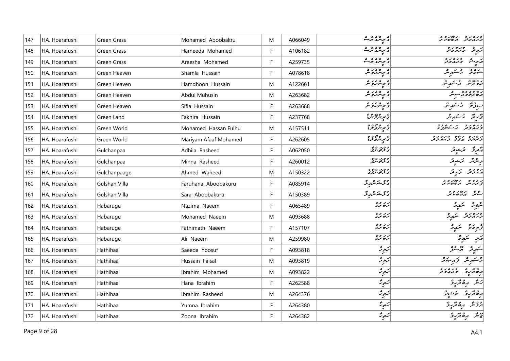| 147 | HA. Hoarafushi | <b>Green Grass</b> | Mohamed Aboobakru     | M           | A066049 | <sub>تۇ مو</sub> رمۇ ئۇر <u>م</u>         | כנסנכ נמנסכ<br>כגתכת תפסטת                             |
|-----|----------------|--------------------|-----------------------|-------------|---------|-------------------------------------------|--------------------------------------------------------|
| 148 | HA. Hoarafushi | <b>Green Grass</b> | Hameeda Mohamed       | $\mathsf F$ | A106182 | ە يەر مۇ ئۆر<br>ئ <sup>ى</sup> ر بىرى ئىر | <i>و بر ۵ پ</i> ر و<br>تر <i>بر</i> تر تر<br> پرٔچونگر |
| 149 | HA. Hoarafushi | <b>Green Grass</b> | Areesha Mohamed       | F           | A259735 | ە بېرى <i>نزى تر</i> ْت                   | و ره ر و<br>تر پروتر<br>وكمعريثة                       |
| 150 | HA. Hoarafushi | Green Heaven       | Shamla Hussain        | F           | A078618 | ە پرى <i>ترىكى</i> تر                     | شومۇ بىر شەر ش                                         |
| 151 | HA. Hoarafushi | Green Heaven       | Hamdhoon Hussain      | M           | A122661 | ە پرى <i>ترىكى</i> تر                     | رەددە جەمرىر                                           |
| 152 | HA. Hoarafushi | Green Heaven       | Abdul Muhusin         | M           | A263682 | ە پرى <i>ترىكى</i> تر                     | ره وه وه<br>پره تربو تر سوس                            |
| 153 | HA. Hoarafushi | Green Heaven       | Sifla Hussain         | $\mathsf F$ | A263688 | ە <sub>مو</sub> بۇرى <i>كە</i> ئىر        | سورى ئەسكەنلى                                          |
| 154 | HA. Hoarafushi | Green Land         | Fakhira Hussain       | F           | A237768 | ه په مورد وه<br>د پر مرکز مرد             | ۇرىگە برگىتەرلىر                                       |
| 155 | HA. Hoarafushi | Green World        | Mohamed Hassan Fulhu  | M           | A157511 | ه په ۵۵۵ و<br>د پر سرونځ                  | ورەرو بەشتەرو<br>جەيرونى بەشتىرى                       |
| 156 | HA. Hoarafushi | Green World        | Mariyam Afaaf Mohamed | F           | A262605 | ه په ده وه وه<br>د پر پنرټونو و           | נ סנים נגם כנסנים<br>כמ <i>תכ הצצ כג</i> הכת           |
| 157 | HA. Hoarafushi | Gulchanpaa         | Adhila Rasheed        | F           | A062050 | د وي شرو په ک                             | ەگەرگى ئەشلەر                                          |
| 158 | HA. Hoarafushi | Gulchanpaa         | Minna Rasheed         | $\mathsf F$ | A260012 | د و د پر و پر<br>د نژگتم سرتی             | ویژینژ برشوتر                                          |
| 159 | HA. Hoarafushi | Gulchanpaage       | Ahmed Waheed          | M           | A150322 | و ہ پر ہ د د ،<br>ترمی سرور               | رەرو كەبىر                                             |
| 160 | HA. Hoarafushi | Gulshan Villa      | Faruhana Aboobakuru   | F           | A085914 | د ومئەشرە ئە                              | ر و ده برود و د                                        |
| 161 | HA. Hoarafushi | Gulshan Villa      | Sara Aboobakuru       | F           | A150389 | دە ئەشرەپ ئى                              | 77/77/<br>سەپر                                         |
| 162 | HA. Hoarafushi | Habaruge           | Nazima Naeem          | F           | A065489 | ر ر د ،<br>ره مرد                         | سَّنْجِرَ تَحْ<br>سكەچە                                |
| 163 | HA. Hoarafushi | Habaruge           | Mohamed Naeem         | M           | A093688 | ر ر د ء<br>رھ مرد                         | و رە ر د<br><i>د بە</i> پەر<br>سمەچ                    |
| 164 | HA. Hoarafushi | Habaruge           | Fathimath Naeem       | F           | A157107 | ر ر و ،<br>رَ@ىرى                         | و څو څخه<br>سَمِهِ رَ                                  |
| 165 | HA. Hoarafushi | Habaruge           | Ali Naeem             | M           | A259980 | ر ر و ،<br>رَ@ىرى                         | ړې شمېرو                                               |
| 166 | HA. Hoarafushi | Hathihaa           | Saeeda Yoosuf         | F           | A093818 | ئە بۇ ش                                   | دد وه<br>در سور<br>سَمَهِ مَدَّ                        |
| 167 | HA. Hoarafushi | Hathihaa           | Hussain Faisal        | M           | A093819 | ئەموش                                     | چەسىر ئەربىد                                           |
| 168 | HA. Hoarafushi | Hathihaa           | Ibrahim Mohamed       | M           | A093822 | ئەمور                                     | و رە ر د<br><i>د بە</i> د تر<br>ەر ھەتمەر 2<br>ر       |
| 169 | HA. Hoarafushi | Hathihaa           | Hana Ibrahim          | F           | A262588 | ئە <sub>م</sub> ش                         |                                                        |
| 170 | HA. Hoarafushi | Hathihaa           | Ibrahim Rasheed       | M           | A264376 | ئە <sub>م</sub> رُ                        | ەرھەترىر <sup>ە</sup><br>ىمەسىيە قىر<br>ئ              |
| 171 | HA. Hoarafushi | Hathihaa           | Yumna Ibrahim         | F           | A264380 | ئەھەر                                     | وه پژ<br>ە ھەترىرى<br>برھىترىرى                        |
| 172 | HA. Hoarafushi | Hathihaa           | Zoona Ibrahim         | F           | A264382 | ئەموش                                     | يعش مەھىرى                                             |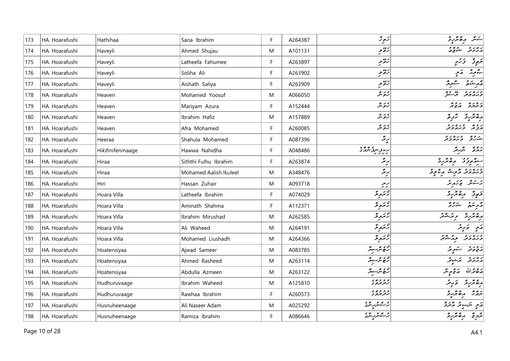| 173 | HA. Hoarafushi | Hathihaa         | Sana Ibrahim           | F         | A264387 | رَموِرَّ                           | سكش مەھمىرو                                                                       |
|-----|----------------|------------------|------------------------|-----------|---------|------------------------------------|-----------------------------------------------------------------------------------|
| 174 | HA. Hoarafushi | Haveyli          | Ahmed Shujau           | M         | A101131 | ريمو                               | پروژو<br>ے جمعے در                                                                |
| 175 | HA. Hoarafushi | Haveyli          | Latheefa Fahumee       | F         | A263897 | رەيج                               | کوچوٹر<br> <br>منص<br>ترژح                                                        |
| 176 | HA. Hoarafushi | Haveyli          | Soliha Ali             | F         | A263902 | ريمو                               | بڈورڈ<br>ەكىپىيە                                                                  |
| 177 | HA. Hoarafushi | Haveyli          | Aishath Saliya         | F         | A263909 | رەيە<br>رەبىر                      | سەّمەد<br>و مر به در<br>مرگه به شوه                                               |
| 178 | HA. Hoarafushi | Heaven           | Mohamed Yoosuf         | M         | A066050 | ی ر ه<br>ره مثر                    | כנסנכ מבק<br><i>בה</i> תכת ת—נצ                                                   |
| 179 | HA. Hoarafushi | Heaven           | Mariyam Azura          | F         | A152444 | ی ر ه<br>ره مګ                     | נ סנים ניביב<br>בינו <i>ו</i> ב ביביב                                             |
| 180 | HA. Hoarafushi | Heaven           | Ibrahim Hafiz          | ${\sf M}$ | A157889 | ى يەھ<br>سىر مىش                   | أرەنئەر ئىرۇ                                                                      |
| 181 | HA. Hoarafushi | Heaven           | Afra Mohamed           | F         | A260085 | ی ر ه<br>ر <sub>حو</sub> مبر       | و ره ر و<br>تر پر تر تر<br>بر 3 تەش                                               |
| 182 | HA. Hoarafushi | Heeraa           | Shahula Mohamed        | F         | A087396 | ىيەتىگە                            | ے ترتم<br>و رە ر د<br><i>د ب</i> رگرىز                                            |
| 183 | HA. Hoarafushi | Hikifinifenmaage | Hawwa Nahidha          | F         | A048486 | ار، و سره عروج<br>مرد د سره شرقه د | پره په سرگردگر                                                                    |
| 184 | HA. Hoarafushi | Hiraa            | Siththi Fulhu Ibrahim  | F         | A263874 | برتر                               |                                                                                   |
| 185 | HA. Hoarafushi | Hiraa            | Mohamed Aalish Ikuleel | M         | A348476 | برتژ                               | ورەرو گروے مائوتى                                                                 |
| 186 | HA. Hoarafushi | Hiri             | Hassan Zuhair          | ${\sf M}$ | A093718 | رىر                                | برسك بمركبه                                                                       |
| 187 | HA. Hoarafushi | Hoara Villa      | Latheefa Ibrahim       | F         | A074029 | تتمرُّوتْر                         | دَوِرْ رە ئ <sub>ىر</sub> د                                                       |
| 188 | HA. Hoarafushi | Hoara Villa      | Aminath Shahma         | F         | A112371 | م<br> رسمبر محر                    | أأروبتهم المشرارة                                                                 |
| 189 | HA. Hoarafushi | Hoara Villa      | Ibrahim Mirushad       | M         | A262585 | لتحمر محر                          | ە <i>بەر ئەرەر ئەرە</i><br>مەمەر ئەر ئەرەر ئەرەر ئەرەر<br>ئەرەب ئەرەر ئەرەر ئەرەر |
| 190 | HA. Hoarafushi | Hoara Villa      | Ali Waheed             | M         | A264191 | لأتمره ومحر                        | أرشح أأتمد وتر                                                                    |
| 191 | HA. Hoarafushi | Hoara Villa      | Mohamed Liushadh       | M         | A264366 | لتحترمونثر                         | כנסג כ כשבת<br>כממכת כמיילת                                                       |
| 192 | HA. Hoarafushi | Hoatensiyaa      | Ajwad Sameer           | ${\sf M}$ | A083785 | م محمد شرکته میکنید.<br>مراجع      | دورو سکوپر                                                                        |
| 193 | HA. Hoarafushi | Hoatensiyaa      | Ahmed Rasheed          | ${\sf M}$ | A263114 | محی محرب مرکز<br> <br>محسن محرب    | رەر تەرىپەتە<br>مەركى تەش <sub>ە</sub> تە                                         |
| 194 | HA. Hoarafushi | Hoatensiyaa      | Abdulla Azmeen         | ${\sf M}$ | A263122 | ئۇغ تىرىسەتە                       | أصفاقدالله المتفاجي يمر                                                           |
| 195 | HA. Hoarafushi | Hudhuruvaage     | Ibrahim Waheed         | ${\sf M}$ | A125810 | و و و د د<br>ر توبرو د             | وەترىر ئەير                                                                       |
| 196 | HA. Hoarafushi | Hudhuruvaage     | Rawhaa Ibrahim         | F         | A260573 | و و و د ،<br>رکوبوړۍ               | بره و محمده                                                                       |
| 197 | HA. Hoarafushi | Husnuheenaage    | Ali Naseer Adam        | M         | A025292 | 2 مىشرىرىدى <del>كى</del>          | أرجمي لترسوننى ومحترفه                                                            |
| 198 | HA. Hoarafushi | Husnuheenaage    | Ramiza Ibrahim         | F         | A086646 | 2 مەيرى <i>ر بىرى</i>              | بمربخ وكالمربر                                                                    |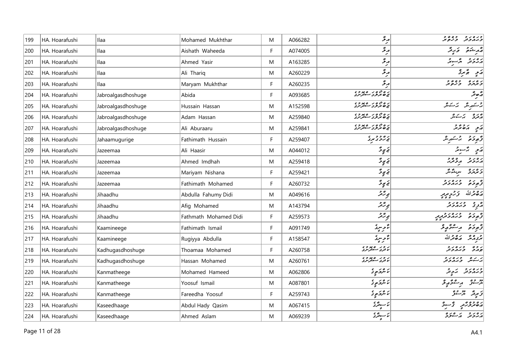| 199 | HA. Hoarafushi | Ilaa               | Mohamed Mukhthar      | M         | A066282 | وعج                                                           | در در ده ده د                                   |
|-----|----------------|--------------------|-----------------------|-----------|---------|---------------------------------------------------------------|-------------------------------------------------|
| 200 | HA. Hoarafushi | Ilaa               | Aishath Waheeda       | F         | A074005 | برتخه                                                         | أقهر شدة وكرقد                                  |
| 201 | HA. Hoarafushi | Ilaa               | Ahmed Yasir           | ${\sf M}$ | A163285 | برځ                                                           | رەرد ئرىسىر                                     |
| 202 | HA. Hoarafushi | Ilaa               | Ali Thariq            | M         | A260229 | برتمر                                                         | أتدمج بحجرة                                     |
| 203 | HA. Hoarafushi | Ilaa               | Maryam Mukhthar       | F         | A260235 | برتخه                                                         | ويوبره<br>و ه ه و د<br>تر شر هو مر              |
| 204 | HA. Hoarafushi | Jabroalgasdhoshuge | Abida                 | F         | A093685 | ر ہ 0 0 ر ۔ ہ پر و ء<br>تع ن مرمو <sub>ک</sub> سوتر پری       | پ <sup>ر</sup> ھوتر                             |
| 205 | HA. Hoarafushi | Jabroalgasdhoshuge | Hussain Hassan        | ${\sf M}$ | A152598 | ر ۵ <i>۵ ۵ ر</i> ۵ مرو ۷<br>بی <i>۰۰۰ رو د س</i> وتر <i>د</i> | چە ئەر ئەسەتكە                                  |
| 206 | HA. Hoarafushi | Jabroalgasdhoshuge | Adam Hassan           | ${\sf M}$ | A259840 | ر ۵ ۵ ۵ د _ ۵ پر و ٤<br>بی ن نرمر و — دترىرو                  | ۇرۇ بەسكىر                                      |
| 207 | HA. Hoarafushi | Jabroalgasdhoshuge | Ali Aburaaru          | ${\sf M}$ | A259841 | پر ۵ ۵ ۵ و پر ۶ و ۶<br>  این ه تنزیری                         |                                                 |
| 208 | HA. Hoarafushi | Jahaamugurige      | Fathimath Hussain     | F         | A259407 | ر ۶ و و<br>ق گرو <sub>ک</sub> موی                             | قرم وحرمته والمسكر مترامله                      |
| 209 | HA. Hoarafushi | Jazeemaa           | Ali Haasir            | M         | A044012 | تح مچ تخر                                                     | أريمو برمسونر                                   |
| 210 | HA. Hoarafushi | Jazeemaa           | Ahmed Imdhah          | ${\sf M}$ | A259418 | تع ی تر                                                       | پروژبر<br>ەر ۋېۋر                               |
| 211 | HA. Hoarafushi | Jazeemaa           | Mariyam Nishana       | F         | A259421 | تع نیچ گ                                                      | ر ه ر ه<br><del>ر</del> بربرگ<br>سرىشەتتىر      |
| 212 | HA. Hoarafushi | Jazeemaa           | Fathimath Mohamed     | F         | A260732 | تع یچ گ                                                       | و ره ر د<br>تر پر ژند<br>  توجو حرح             |
| 213 | HA. Hoarafushi | Jihaadhu           | Abdulla Fahumy Didi   | M         | A049616 | ہے مرکمتر                                                     | برە چراللە ئەخرىرىد                             |
| 214 | HA. Hoarafushi | Jihaadhu           | Afig Mohamed          | ${\sf M}$ | A143794 | محر شرقر                                                      | و ره ر د<br><i>د ب</i> رگرفر<br> پژويخ          |
| 215 | HA. Hoarafushi | Jihaadhu           | Fathmath Mohamed Didi | F         | A259573 | صحيح قر                                                       |                                                 |
| 216 | HA. Hoarafushi | Kaamineege         | Fathimath Ismail      | F         | A091749 | مۇجەسى<br>مەس                                                 | وستوًمٍ و<br>ۇ بوز ئە                           |
| 217 | HA. Hoarafushi | Kaamineege         | Rugiyya Abdulla       | F         | A158547 | نۇچە بىرى<br>س                                                | ىر تو ەر ئىر<br>مَە قىراللە                     |
| 218 | HA. Hoarafushi | Kadhugasdhoshuge   | Thoamaa Mohamed       | F         | A260758 | ر و ر ۱۵ پر و ٤<br>د تري سوترىرى                              | پر و بر<br>جوړن<br>و ره ر د<br><i>د ب</i> رگرفر |
| 219 | HA. Hoarafushi | Kadhugasdhoshuge   | Hassan Mohamed        | M         | A260761 | ر و ر ۔ ه پو و ،<br>د تری سسترمری                             | يُرَ سُدُ وَيَرُورُو                            |
| 220 | HA. Hoarafushi | Kanmatheege        | Mohamed Hameed        | M         | A062806 | ر هر د ه<br>ما مرد ه <sub>و</sub> د                           | ورەرو پەرو                                      |
| 221 | HA. Hoarafushi | Kanmatheege        | Yoosuf Ismail         | ${\sf M}$ | A087801 | ر هر د ه<br>ما مرد ه <sub>و</sub> د                           | در ده د مشرقه و                                 |
| 222 | HA. Hoarafushi | Kanmatheege        | Fareedha Yoosuf       | F         | A259743 | ر مر <sub>کب</sub> ر م<br>مرکبر ک                             | ۇ بىر قەر جۇ ھەر تەر                            |
| 223 | HA. Hoarafushi | Kaseedhaage        | Abdul Hady Qasim      | M         | A067415 | ئەسىيەتىرى<br> - ئەسىرى                                       | دەۋەتتى ئۆسۈ                                    |
| 224 | HA. Hoarafushi | Kaseedhaage        | Ahmed Aslam           | M         | A069239 | ئەسىيەتىرى<br> -                                              | ړه رو پر ۱۵۷۵                                   |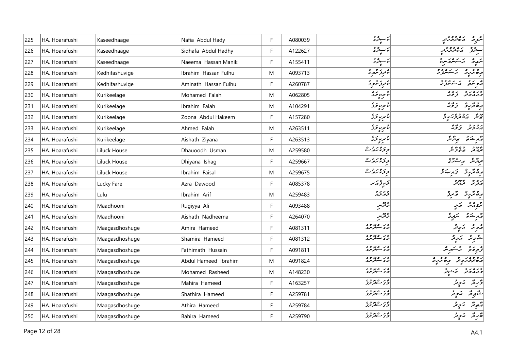| 225 | HA. Hoarafushi | Kaseedhaage    | Nafia Abdul Hady     | F         | A080039 | ر<br>ما سىرتىرى                         | ړه وه ژبې<br>لتنورثه                          |
|-----|----------------|----------------|----------------------|-----------|---------|-----------------------------------------|-----------------------------------------------|
| 226 | HA. Hoarafushi | Kaseedhaage    | Sidhafa Abdul Hadhy  | F         | A122627 | ر<br>ما سىۋىرى                          | ر ه و ه و په<br>پره مرمورتمبر<br>سىقرۇ        |
| 227 | HA. Hoarafushi | Kaseedhaage    | Naeema Hassan Manik  | F         | A155411 | ئەسبەتىرى<br>                           | لىتىمەتچ<br>پر کے مرکز سربر                   |
| 228 | HA. Hoarafushi | Kedhifashuvige | Ibrahim Hassan Fulhu | M         | A093713 | ، مرتر تر <sub>حر</sub> ء<br>م          | رە ئۈرۈ<br>بر ک مگرو ژ                        |
| 229 | HA. Hoarafushi | Kedhifashuvige | Aminath Hassan Fulhu | F         | A260787 |                                         | پ <sup>ر</sup> جە ئىبر<br>بر کے مثرو تر       |
| 230 | HA. Hoarafushi | Kurikeelage    | Mohamed Falah        | M         | A062805 | پرېدنو د<br>  سربرو د                   | وره روه وروه                                  |
| 231 | HA. Hoarafushi | Kurikeelage    | Ibrahim Falah        | M         | A104291 | د<br>ماسر پوسو <sup>ي</sup>             | أرەنزىرو بەيدە                                |
| 232 | HA. Hoarafushi | Kurikeelage    | Zoona Abdul Hakeem   | F         | A157280 | ج بر بر بر ؟<br>مسر بر بر د ؟<br>مسر قب | מי נסיפונים                                   |
| 233 | HA. Hoarafushi | Kurikeelage    | Ahmed Falah          | ${\sf M}$ | A263511 | د<br>ئىمىر بىرىمى<br>سىر ئە             | رەر دىرە                                      |
| 234 | HA. Hoarafushi | Kurikeelage    | Aishath Ziyana       | F         | A263513 | ئەبىر بويى<br>                          | أقرم شكوته بم تركس                            |
| 235 | HA. Hoarafushi | Liluck House   | Dhauoodh Usman       | M         | A259580 | د ئەرىر ئە                              | پر دو و<br>تورهر تعر<br>و و بر مر<br>مرغ د ش  |
| 236 | HA. Hoarafushi | Liluck House   | Dhiyana Ishaq        | F         | A259667 | د ئەرىر ئە                              | مرتژنتر بر شریح                               |
| 237 | HA. Hoarafushi | Liluck House   | Ibrahim Faisal       | M         | A259675 | جەنزەر ق                                | ەھ ئۈر ۋ<br>تەرىبەنى                          |
| 238 | HA. Hoarafushi | Lucky Fare     | Azra Dawood          | F         | A085378 | ځه د د بر                               | ر ہ<br>ەنىرىتر<br>پر دو و<br>تر <i>هر</i> تعر |
| 239 | HA. Hoarafushi | Lulu           | Ibrahim Arif         | M         | A259483 | حەد دە                                  | ەر ھەتمەر 2<br>ر<br>ە ئىمبەرى                 |
| 240 | HA. Hoarafushi | Maadhooni      | Rugiyya Ali          | F         | A093488 | أوفرمبر                                 | و ه ه ه<br>مرتو مارگر<br>ەتىر                 |
| 241 | HA. Hoarafushi | Maadhooni      | Aishath Nadheema     | F         | A264070 | ۇدورىبر                                 | و مر در در<br>مرگه<br>سرمرر                   |
| 242 | HA. Hoarafushi | Maagasdhoshuge | Amira Hameed         | F         | A081311 | به رحمه و د و د<br>نوکی مسلولوسوی       | وترمر                                         |
| 243 | HA. Hoarafushi | Maagasdhoshuge | Shamira Hameed       | F         | A081312 | به رحمه و د و د<br>نوکی مسلولوسوی       | مشوير<br>برَحٍ قر                             |
| 244 | HA. Hoarafushi | Maagasdhoshuge | Fathimath Hussain    | F         | A091811 | به رحمه و د و د<br>ترک سنگرمزی          | ۇيوۋە باشىرىش                                 |
| 245 | HA. Hoarafushi | Maagasdhoshuge | Abdul Hameed Ibrahim | M         | A091824 | به رحمه و د و<br>و ی سسوتوری            | גם כפני כל הסתנים                             |
| 246 | HA. Hoarafushi | Maagasdhoshuge | Mohamed Rasheed      | ${\sf M}$ | A148230 | به ره مدو د<br>و ی سوتوری               | ورەرو بەيدۇ.                                  |
| 247 | HA. Hoarafushi | Maagasdhoshuge | Mahira Hameed        | F         | A163257 | به رحمه و د و<br>و ی سسوتوری            | ۇربۇ يەچە                                     |
| 248 | HA. Hoarafushi | Maagasdhoshuge | Shathira Hameed      | F         | A259781 | به رحمه و د و د<br>نوکی مسلولوسوی       | شگېږ تر تر                                    |
| 249 | HA. Hoarafushi | Maagasdhoshuge | Athira Hameed        | F         | A259784 | به رحمه و د و د<br>تر ی کستونوری        | ومجوبتمر<br>ئەچە قىر<br>ئىس                   |
| 250 | HA. Hoarafushi | Maagasdhoshuge | Bahira Hameed        | F         | A259790 | به ره مدو د<br>و ی سوتوری               | ۇربۇ بەدە                                     |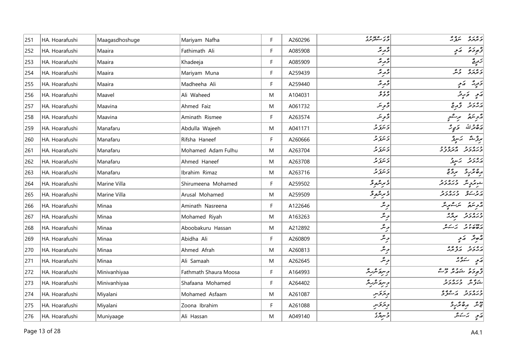| 251 | HA. Hoarafushi | Maagasdhoshuge | Mariyam Nafha         | F.          | A260296 | بر رحس و د د<br>و ی سستمبرسوی | سرە پۇ<br>ر ه بر ه<br>تر بر بر               |
|-----|----------------|----------------|-----------------------|-------------|---------|-------------------------------|----------------------------------------------|
| 252 | HA. Hoarafushi | Maaira         | Fathimath Ali         | F           | A085908 | څ مرنځه                       | و د د د<br>گرمونه و<br>ەكىر                  |
| 253 | HA. Hoarafushi | Maaira         | Khadeeja              | F           | A085909 | خوبم                          | ر<br>تر ورقع<br>م                            |
| 254 | HA. Hoarafushi | Maaira         | Mariyam Muna          | F           | A259439 | ۇرىز<br>م                     | وبروه<br>تر شر                               |
| 255 | HA. Hoarafushi | Maaira         | Madheeha Ali          | F           | A259440 | قەرىتىر                       | ىز مور <sup>ىخ</sup><br>مە<br>ەتىر           |
| 256 | HA. Hoarafushi | Maavel         | Ali Waheed            | M           | A104031 | ره ده<br>و د نو               | أەسمج الحاسر و                               |
| 257 | HA. Hoarafushi | Maavina        | Ahmed Faiz            | M           | A061732 | ۇ <sub>جو</sub> بىگە          |                                              |
| 258 | HA. Hoarafushi | Maavina        | Aminath Rismee        | F           | A263574 | د گھر مگر<br>م                | ا پر دینه در محمد<br>مسلم<br>بریمو           |
| 259 | HA. Hoarafushi | Manafaru       | Abdulla Wajeeh        | M           | A041171 | ىر ئىرىمە<br>جەنبىرىمە        | <mark>برە ت</mark> راللە<br>ءَ صحي ٿر        |
| 260 | HA. Hoarafushi | Manafaru       | Rifsha Haneef         | $\mathsf F$ | A260666 | 5 سَرَتر تَرُ                 | بروْٹ کے سرو                                 |
| 261 | HA. Hoarafushi | Manafaru       | Mohamed Adam Fulhu    | M           | A263704 | 5 سَرَتر تَرُ                 | כנסני מנסיכי<br>כגהכת התכנת                  |
| 262 | HA. Hoarafushi | Manafaru       | Ahmed Haneef          | M           | A263708 | 5 سَرَتَرَ سَرَ               | پروتر برسید                                  |
| 263 | HA. Hoarafushi | Manafaru       | Ibrahim Rimaz         | M           | A263716 | ىر ئىرىمە<br>جەنبىرىمە        | وەترىر بردى                                  |
| 264 | HA. Hoarafushi | Marine Villa   | Shirumeena Mohamed    | F           | A259502 | ۇبرىئروگر                     | شوپر <sub>و</sub> بر 1979ء<br>شوپرو پر 1975ء |
| 265 | HA. Hoarafushi | Marine Villa   | Arusal Mohamed        | M           | A259509 | ۇ بىر ش <sub>ەر</sub> ئە      | رورو ورەرو                                   |
| 266 | HA. Hoarafushi | Minaa          | Aminath Nasreena      | F           | A122646 | حرمگر                         | ۇ ئەستىر ئىق ئەستە ئەستر                     |
| 267 | HA. Hoarafushi | Minaa          | Mohamed Riyah         | M           | A163263 | حرمتش                         | כנסנכ תוצם                                   |
| 268 | HA. Hoarafushi | Minaa          | Aboobakuru Hassan     | M           | A212892 | حريثر                         | رددرد و بر کامل                              |
| 269 | HA. Hoarafushi | Minaa          | Abidha Ali            | F           | A260809 | حريثر                         | ړُهنَّر کړم                                  |
| 270 | HA. Hoarafushi | Minaa          | Ahmed Afrah           | M           | A260813 | حریگر                         | $0.901$<br>$0.901$<br>$0.901$                |
| 271 | HA. Hoarafushi | Minaa          | Ali Samaah            | M           | A262645 | حريثر                         | أەيج سىۋە                                    |
| 272 | HA. Hoarafushi | Minivanhiyaa   | Fathmath Shaura Moosa | $\mathsf F$ | A164993 | حەسرە ئىشرىد                  | تحجيز حريد وحريث                             |
| 273 | HA. Hoarafushi | Minivanhiyaa   | Shafaana Mohamed      | F           | A264402 | ا په سرچ مګر مر<br><u>مر</u>  | شۇ ھەمدە                                     |
| 274 | HA. Hoarafushi | Miyalani       | Mohamed Asfaam        | M           | A261087 | ويزؤمر                        | כנסנכ הפיס<br><i>כה</i> תכת ה—נכ             |
| 275 | HA. Hoarafushi | Miyalani       | Zoona Ibrahim         | F           | A261088 | ويزؤبير                       | در میگرد<br>میگر م                           |
| 276 | HA. Hoarafushi | Muniyaage      | Ali Hassan            | M           | A049140 | د سرگری<br>مرب                | أەي ئەسەھ                                    |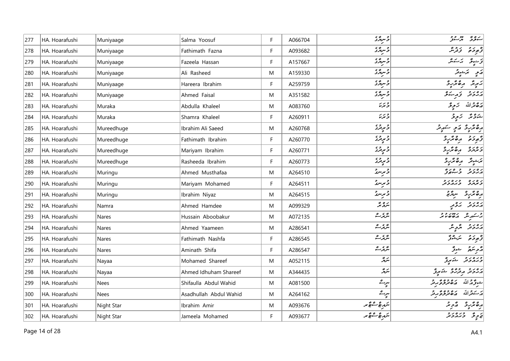| 277 | HA. Hoarafushi | Muniyaage    | Salma Yoosuf           | F.          | A066704 | د سرگری<br>تر سرگری           | سەۋى<br>دو به د د<br>در سوز                              |
|-----|----------------|--------------|------------------------|-------------|---------|-------------------------------|----------------------------------------------------------|
| 278 | HA. Hoarafushi | Muniyaage    | Fathimath Fazna        | F           | A093682 | د سرگری<br>تر سرگری           | ا تو بر در<br>ا<br>ترقرىتر                               |
| 279 | HA. Hoarafushi | Muniyaage    | Fazeela Hassan         | F.          | A157667 | د سرگری<br>م                  | ۇخوڭ كەسكە                                               |
| 280 | HA. Hoarafushi | Muniyaage    | Ali Rasheed            | M           | A159330 | د سرگری<br>مرب                | ړې تر شونز<br>د کا                                       |
| 281 | HA. Hoarafushi | Muniyaage    | Hareera Ibrahim        | F.          | A259759 | و سرچري<br>د سرچري            | بمبدئه<br>رە ئۈرۈ                                        |
| 282 | HA. Hoarafushi | Muniyaage    | Ahmed Faisal           | M           | A351582 | د سرگری<br>تر سرگری           |                                                          |
| 283 | HA. Hoarafushi | Muraka       | Abdulla Khaleel        | M           | A083760 | ويرز                          | وكافرالله<br>تزمونى                                      |
| 284 | HA. Hoarafushi | Muraka       | Shamra Khaleel         | F.          | A260911 | ويرز                          | خەبى زىرى                                                |
| 285 | HA. Hoarafushi | Mureedhuge   | Ibrahim Ali Saeed      | M           | A260768 | و مردر و ،<br>تر مردر و       | رە ئەر ئە ئە ئەر                                         |
| 286 | HA. Hoarafushi | Mureedhuge   | Fathimath Ibrahim      | $\mathsf F$ | A260770 | ته سر د بر<br>  ته سر سر د    | دە ئەرد<br>ا تو <sub>جو</sub> تر م                       |
| 287 | HA. Hoarafushi | Mureedhuge   | Mariyam Ibrahim        | F           | A260771 | تر بر تر د<br>  تر بر تر د    | ر ه ر ه<br><del>و</del> بوبرو<br>دەنزېرد                 |
| 288 | HA. Hoarafushi | Mureedhuge   | Rasheeda Ibrahim       | F           | A260773 | و پر و ،<br>د پر تر د         | ڔۿؠڒڕۯ<br>ىكەشىرەتگە<br>ئە                               |
| 289 | HA. Hoarafushi | Muringu      | Ahmed Musthafaa        | M           | A264510 | وحمرسر                        | د ح ر و.<br>تر جوړن<br>ر ٥ ر ۶<br>د بر <del>د</del> تر   |
| 290 | HA. Hoarafushi | Muringu      | Mariyam Mohamed        | F           | A264511 |                               | و رە ر د<br>تر پر تر تر<br>ر ه ر ه<br><del>د</del> بربرگ |
| 291 | HA. Hoarafushi | Muringu      | Ibrahim Niyaz          | M           | A264515 | وتمرسو                        | سردنج<br>ەرھەترىرى<br>ر                                  |
| 292 | HA. Hoarafushi | Namra        | Ahmed Hamdee           | M           | A099329 | ىرە ئە                        | رور د دور<br>مددونر برومړ                                |
| 293 | HA. Hoarafushi | <b>Nares</b> | Hussain Aboobakur      | M           | A072135 | پرې ه<br>مربر ش               |                                                          |
| 294 | HA. Hoarafushi | <b>Nares</b> | Ahmed Yaameen          | M           | A286541 | متزبرك                        |                                                          |
| 295 | HA. Hoarafushi | Nares        | Fathimath Nashfa       | F           | A286545 | ىئرىزىشە                      | قرم فرقم فللمسترقة                                       |
| 296 | HA. Hoarafushi | <b>Nares</b> | Aminath Shifa          | F           | A286547 | يى ئە                         | أأترسكم والمحر                                           |
| 297 | HA. Hoarafushi | Nayaa        | Mohamed Shareef        | M           | A052115 | سرپڑ                          | ورەرو شەرو                                               |
| 298 | HA. Hoarafushi | Nayaa        | Ahmed Idhuham Shareef  | M           | A344435 | سرپڑ                          | برەر دىرىرى ھەمدى                                        |
| 299 | HA. Hoarafushi | <b>Nees</b>  | Shifaulla Abdul Wahid  | M           | A081500 | سريہ                          | <u>شووم الله مره وه و و</u>                              |
| 300 | HA. Hoarafushi | <b>Nees</b>  | Asadhullah Abdul Wahid | M           | A264162 | سريہ                          | بر بروالله برەموم بروتر<br>مر مورالله مەھەر فرقم بروتر   |
| 301 | HA. Hoarafushi | Night Star   | Ibrahim Amir           | M           | A093676 | يَرَمْهِ عَصْبَ عَلَيْهِ مِرْ | رەنگرى كەرىگ                                             |
| 302 | HA. Hoarafushi | Night Star   | Jameela Mohamed        | F           | A093677 | سَمَهِ هُو صَفَعِ مَد         | ر<br>  ج چ علي حرم د حرم حر                              |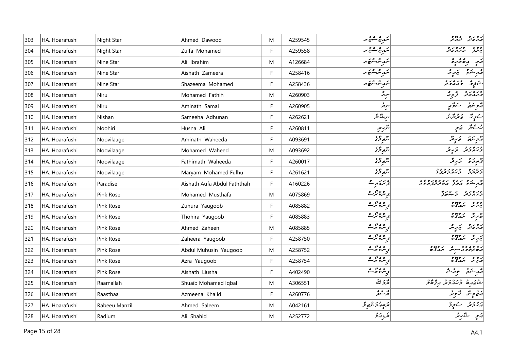| 303   | HA. Hoarafushi | Night Star    | Ahmed Dawood                | ${\sf M}$ | A259545 | سَمَدِ ڪَ حصَّ سَرِ                       | ر 2 د 3 دور<br>ג برو تر تر                         |
|-------|----------------|---------------|-----------------------------|-----------|---------|-------------------------------------------|----------------------------------------------------|
| 304   | HA. Hoarafushi | Night Star    | Zulfa Mohamed               | F         | A259558 | سَرةٍ عُصَّر                              | و ر ه ر و<br><i>و پر</i> و تر<br>و ه و.<br>سي مرکز |
| 305   | HA. Hoarafushi | Nine Star     | Ali Ibrahim                 | ${\sf M}$ | A126684 | سَرىر سْرْسْة عَ س <sup>ى</sup>           | ړې د هڅرچ                                          |
| 306   | HA. Hoarafushi | Nine Star     | Aishath Zameera             | F         | A258416 | ىئرىم ىىر كىشى ئىر                        |                                                    |
| 307   | HA. Hoarafushi | Nine Star     | Shazeema Mohamed            | F         | A258436 | ايمە بىر بىر <u>مەم</u><br>سىر            | ے تم <i>نمج</i> تر<br>و ره ر د<br><i>د ب</i> رگرفر |
| 308   | HA. Hoarafushi | Niru          | Mohamed Fathih              | M         | A260903 | سریڑ                                      | ورەرو بەر                                          |
| 309   | HA. Hoarafushi | Niru          | Aminath Samai               | F         | A260905 | سرچر                                      | أزجر سترقم                                         |
| 310   | HA. Hoarafushi | Nishan        | Sameeha Adhunan             | F         | A262621 | اسریشمر<br>پ                              | ىر 3 مەركە<br>ەر قىرىنىز<br> سەرپە                 |
| $311$ | HA. Hoarafushi | Noohiri       | Husna Ali                   | F         | A260811 | متزبر بر<br>سربر                          | ا پر شهر که در                                     |
| 312   | HA. Hoarafushi | Noovilaage    | Aminath Waheeda             | F         | A093691 | دد پر پر<br>سر <sub>گر</sub> بر           | أأزويتهم أورقر                                     |
| 313   | HA. Hoarafushi | Noovilaage    | Mohamed Waheed              | ${\sf M}$ | A093692 | دد<br>متر <sub>عر</sub> پژی               | ورەر دىر د                                         |
| 314   | HA. Hoarafushi | Noovilaage    | Fathimath Waheeda           | F         | A260017 | دد<br>متر <sub>جو م</sub> حر <sub>ى</sub> | وتموختم الحاسية                                    |
| 315   | HA. Hoarafushi | Noovilaage    | Maryam Mohamed Fulhu        | F         | A261621 | دد<br>متر <sub>جو</sub> بخری              | נסנס כנסנככב<br>כמחב בגתכנקצי                      |
| 316   | HA. Hoarafushi | Paradise      | Aishath Aufa Abdul Faththah | F         | A160226 | ئۇبىر ئەمرىشە<br>                         | د در د ده ره ده ده ده ده<br>په شوم مدن په مرحوزمون |
| 317   | HA. Hoarafushi | Pink Rose     | Mohamed Musthafa            | ${\sf M}$ | A075869 | ا پ <sub>ر</sub> مربر عمر <u>مر</u>       | وره رو وه ره<br>وردرونر و ب                        |
| 318   | HA. Hoarafushi | Pink Rose     | Zuhura Yaugoob              | F         | A085882 | ا پ <sub>ر</sub> مربر عمر عہ              | בכבי הברבב<br>המה הבלים                            |
| 319   | HA. Hoarafushi | Pink Rose     | Thohira Yaugoob             | F         | A085883 | ويتربوهم يثوث                             | הביש הכבר ב                                        |
| 320   | HA. Hoarafushi | Pink Rose     | Ahmed Zaheen                | ${\sf M}$ | A085885 | ارپرچون                                   | د ۱۵ د ح کمي پر مر                                 |
| 321   | HA. Hoarafushi | Pink Rose     | Zaheera Yaugoob             | F         | A258750 | ويروعيه                                   | י היה הכרכבים<br>היה ההבים                         |
| 322   | HA. Hoarafushi | Pink Rose     | Abdul Muhusin Yaugoob       | M         | A258752 | بويىر يوم تىر ك                           | גם כם כם גם הפרב<br>הסתקבת היות תהבם               |
| 323   | HA. Hoarafushi | Pink Rose     | Azra Yaugoob                | F         | A258754 | ابر عهوميت                                | גם זי דרך<br>היה ית הבים                           |
| 324   | HA. Hoarafushi | Pink Rose     | Aishath Liusha              | F         | A402490 | ويثره جرعه                                | أقرم شكوم المحرم المتكثر                           |
| 325   | HA. Hoarafushi | Raamallah     | Shuaib Mohamed Iqbal        | M         | A306551 | عَرْدَ اللّه                              | 000 - 1017 - 17                                    |
| 326   | HA. Hoarafushi | Raasthaa      | Azmeena Khalid              | F         | A260776 | پر معبو<br>مرسسو                          | أرجي وينكر المتحرفر                                |
| 327   | HA. Hoarafushi | Rabeeu Manzil | Ahmed Saleem                | ${\sf M}$ | A042161 | ىمە <i>ھەد ئى</i> رى<br>مۇ                | رەرە سەرو                                          |
| 328   | HA. Hoarafushi | Radium        | Ali Shahid                  | M         | A252772 | بزوبره                                    | ارسم په مشرقه<br>امکمو سفرقه                       |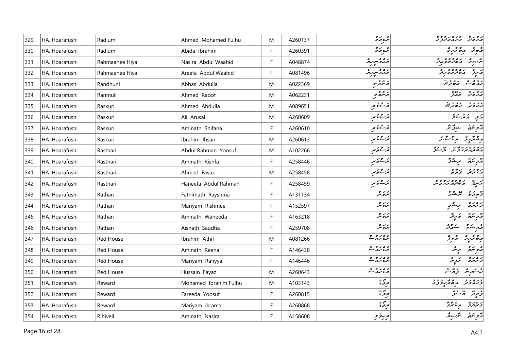| 329 | HA. Hoarafushi | Radium           | Ahmed Mohamed Fulhu   | M           | A260137 | بزودة                                    | נסני כנסניכי<br>הגבת כגהכתנת                                                                                  |
|-----|----------------|------------------|-----------------------|-------------|---------|------------------------------------------|---------------------------------------------------------------------------------------------------------------|
| 330 | HA. Hoarafushi | Radium           | Abida Ibrahim         | F           | A260391 | بمرورة                                   | ەرھەترىر <sup>ى</sup><br>ا پژھ تر<br>ا                                                                        |
| 331 | HA. Hoarafushi | Rahmaanee Hiya   | Nasira Abdul Waahid   | F.          | A048874 | ىر 2 ئەرىر ب <sup>ە</sup> ر<br>ئىسىم ئەس | ر ٥ ٥ ٥ ٥ ٠<br>در ۵ تر تر ۶ بر تر<br>ىگرىبىدىگە                                                               |
| 332 | HA. Hoarafushi | Rahmaanee Hiya   | Areefa Abdul Waahid   | F           | A081496 | ىر 2 قىسىر بىر<br>مەنبە 2 سىمب           | ر ٥ ٥ ٥ ٥ ٠<br>د ۵ تروه بر تر<br>ەئىبەر                                                                       |
| 333 | HA. Hoarafushi | Randhuni         | Abbas Abdulla         | M           | A022369 | ر ه د<br>مرمگورس                         | بره محمد مكانية                                                                                               |
| 334 | HA. Hoarafushi | Ranmuli          | Ahmed Raoof           | M           | A062231 | ىر پر 3 بر                               | גם ג כבס<br>הגב בג הג ג                                                                                       |
| 335 | HA. Hoarafushi | Raskuri          | Ahmed Abdulla         | M           | A089651 | ىر مەم <sup>ى</sup> رىد                  | برەرو برەۋاللە                                                                                                |
| 336 | HA. Hoarafushi | Raskuri          | Ali Arusal            | M           | A260609 | ابترعيتمعر                               | ە ئەسىر                                                                                                       |
| 337 | HA. Hoarafushi | Raskuri          | Aminath Shifana       | F.          | A260610 | ىر مەم <sup>ى</sup> ر                    | ۇ ئەسىم ئىستى ئىس                                                                                             |
| 338 | HA. Hoarafushi | Raskuri          | Ibrahim Ihsan         | M           | A260613 | ابتز شقرتمبر                             | رەپرىر روشىر                                                                                                  |
| 339 | HA. Hoarafushi | Rasthari         | Abdul Rahman Yoosuf   | M           | A102266 | برعوبر                                   | ره وه ره ده مدر وه<br>پره تربر بربر حس مرسو                                                                   |
| 340 | HA. Hoarafushi | Rasthari         | Aminath Rishfa        | F           | A258446 | رتے پر<br>انٹرنسٹھونیں                   | أأدوسكم المراشوق                                                                                              |
| 341 | HA. Hoarafushi | Rasthari         | Ahmed Favaz           | M           | A258458 | برَصْحَ مِرِ                             | رەر دىپ                                                                                                       |
| 342 | HA. Hoarafushi | Rasthari         | Haneefa Abdul Rahman  | F.          | A258459 | بمرسفهمبر                                | ره وه ره د ه<br>پره تر پر تر تر تر<br>ئەسىدىگە                                                                |
| 343 | HA. Hoarafushi | Rathan           | Fathimath Rayshma     | F           | A131134 | بر بر ه<br>مرمو مثر                      | ۇ بور د<br>ى <i>ن دە</i> ئ                                                                                    |
| 344 | HA. Hoarafushi | Rathan           | Mariyam Rishmee       | F.          | A152597 | بر بر ه<br>مره مګ                        | ر ه ر ه<br><del>و</del> بربرو<br>ىرىشى<br>بە                                                                  |
| 345 | HA. Hoarafushi | Rathan           | Aminath Waheeda       | $\mathsf F$ | A163218 | برىر ھ                                   | ړې سره<br>ءَ ٻريڙ                                                                                             |
| 346 | HA. Hoarafushi | Rathan           | Aishath Saudha        | F           | A259708 | بر بر ه<br>مره مثر                       | سەھەتىر<br>و مرکز دیگر در<br>مرکز در مشوهی                                                                    |
| 347 | HA. Hoarafushi | <b>Red House</b> | Ibrahim Athif         | M           | A081266 | ، ەر دەپە                                | ە ھەترىر <sup>ى</sup><br>بر ھەترىرى<br>وتبوقر                                                                 |
| 348 | HA. Hoarafushi | <b>Red House</b> | Aminath Reena         | F.          | A146438 | ، ەر دەپ                                 | أروبترة<br>ىيەتىر<br>ئ                                                                                        |
| 349 | HA. Hoarafushi | <b>Red House</b> | Mariyam Rafiyya       | $\mathsf F$ | A146446 | ، ەر دەپ                                 | ر ه ر ه<br><del>و</del> بربرو<br>ىمەر پۇ                                                                      |
| 350 | HA. Hoarafushi | <b>Red House</b> | Hussain Fayaz         | M           | A260643 | ، ەر دەپ                                 | ير سكور من المحاشر المحمد المحمد المحمد المحمد المحمد المحمد المحمد المحمد المحمد المحمد المحمد المحمد المحمد |
| 351 | HA. Hoarafushi | Reward           | Mohamed Ibrahim Fulhu | ${\sf M}$   | A103143 | مړي<br>مروغ                              | ورەرو مەشرورو                                                                                                 |
| 352 | HA. Hoarafushi | Reward           | Fareeda Yoosuf        | F.          | A260815 | ە ە<br>موھ                               | أۇ بېرىگە ئەرجىسۇ                                                                                             |
| 353 | HA. Hoarafushi | Reward           | Mariyam Ikrama        | F.          | A260868 | $\overline{\mathcal{E}}$                 | ر ه ر ه<br><del>و</del> بربرو<br>برء برد                                                                      |
| 354 | HA. Hoarafushi | Rihiveli         | Aminath Nasira        | F.          | A158608 | ىررى<br>ئرىر ئىر                         | أأروبتهم تترجع                                                                                                |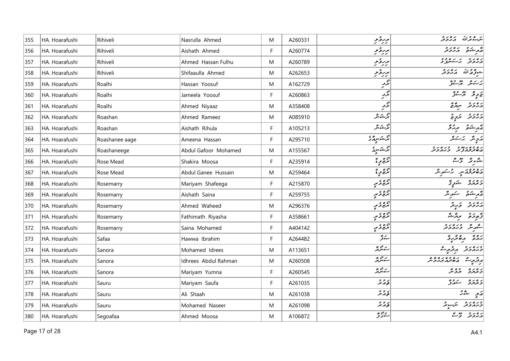| 355 | HA. Hoarafushi | Rihiveli       | Nasrulla Ahmed       | M         | A260331 | ىرر <sub>ئ</sub> ىجى<br>مەركى     | يترجعه الله بره يرو                                                             |
|-----|----------------|----------------|----------------------|-----------|---------|-----------------------------------|---------------------------------------------------------------------------------|
| 356 | HA. Hoarafushi | Rihiveli       | Aishath Ahmed        | F         | A260774 | ىرر ئە<br>ئرىر قىر                | م المستوفي المركز و المركز                                                      |
| 357 | HA. Hoarafushi | Rihiveli       | Ahmed Hassan Fulhu   | M         | A260789 | بررؤو                             | رەرد برسەمدى                                                                    |
| 358 | HA. Hoarafushi | Rihiveli       | Shifaaulla Ahmed     | M         | A262653 | بررء<br>مرگو                      | حو <i>قى جى</i> الله كەن ئەر ئىر                                                |
| 359 | HA. Hoarafushi | Roalhi         | Hassan Yoosuf        | M         | A162729 | ە<br>ئىمىر                        | ير سەھر بۇر جۇ                                                                  |
| 360 | HA. Hoarafushi | Roalhi         | Jameela Yoosuf       | F         | A260863 | لهجميز                            | لەَ جوڭ ئۆز جۇ                                                                  |
| 361 | HA. Hoarafushi | Roalhi         | Ahmed Niyaaz         | ${\sf M}$ | A358408 | لعبي                              | أزور والمراريح                                                                  |
| 362 | HA. Hoarafushi | Roashan        | Ahmed Rameez         | ${\sf M}$ | A085910 | ليمشة مثر                         | أرور والمردح                                                                    |
| 363 | HA. Hoarafushi | Roashan        | Aishath Rihula       | F         | A105213 | تريئه مر                          | و المر المستقبل المستقبل                                                        |
| 364 | HA. Hoarafushi | Roashanee aage | Ameena Hassan        | F         | A295710 | ترىشە بېرىدى                      | أرْجِسٌ أَيْاسَسْ                                                               |
| 365 | HA. Hoarafushi | Roashaneege    | Abdul Gafoor Mohamed | M         | A155567 | ترڪسري                            | נס כס נדבר - כנס נב<br>הם טלטלא - כנו ביט                                       |
| 366 | HA. Hoarafushi | Rose Mead      | Shakira Moosa        | F         | A235914 | ە ھ<br>ئىرىم ج <sub>ە</sub> ؟     | المقربر وحرثته                                                                  |
| 367 | HA. Hoarafushi | Rose Mead      | Abdul Ganee Hussain  | M         | A259464 | پر چ ح <sub>و</sub> ۽             | גפינקלית הרייתית                                                                |
| 368 | HA. Hoarafushi | Rosemarry      | Mariyam Shafeega     | F         | A215870 | ە ە ە ء<br>ئىرىنى خەمىيە          | رەرە شەرقى                                                                      |
| 369 | HA. Hoarafushi | Rosemarry      | Aishath Saina        | F         | A259755 | 0 ء ء ۽<br>پريج ڦر <sub>مبر</sub> | قەرشىق سىمەتتر                                                                  |
| 370 | HA. Hoarafushi | Rosemarry      | Ahmed Waheed         | ${\sf M}$ | A296376 | 0 ء ء ۽<br>مربع ڦرمبر             | ره رو در و<br>ا <i>ر بر</i> وتر کوب <sub>ی</sub> نر                             |
| 371 | HA. Hoarafushi | Rosemarry      | Fathimath Riyasha    | F         | A358661 | ہ ہ ء<br>برج څ مړ                 | أواودة برازعة                                                                   |
| 372 | HA. Hoarafushi | Rosemarry      | Saina Mohamed        | F         | A404142 | ە ە ە ء<br>ئىرىنى خەمىيە          | و ر ه ر و<br>تر پر ژ تر<br>الشهر بثنه                                           |
| 373 | HA. Hoarafushi | Safaa          | Hawwa Ibrahim        | F         | A264482 | ىبە تۇ                            |                                                                                 |
| 374 | HA. Hoarafushi | Sanora         | Mohamed Idrees       | M         | A113651 | ر مړينه<br>سنومبر                 | ورەرو مەرىپ                                                                     |
| 375 | HA. Hoarafushi | Sanora         | Idhrees Abdul Rahman | M         | A260508 | سەھەيھ                            | د تريد - د مده د مده و مده د مده است.<br>د تريد - د ه ترو بر رو د م             |
| 376 | HA. Hoarafushi | Sanora         | Mariyam Yumna        | F         | A260545 | ر پر پر                           | ر ه ر ه<br><del>ر</del> بربرگ<br>يرو پڙ                                         |
| 377 | HA. Hoarafushi | Sauru          | Mariyam Saufa        | F         | A261035 | پر و و<br>فوم مر                  | ر ہ ر ہ<br>تر <del>ب</del> ربر<br>ستهزئز                                        |
| 378 | HA. Hoarafushi | Sauru          | Ali Shaah            | ${\sf M}$ | A261038 | پر 3 ج<br>فوجر مر                 | $\begin{vmatrix} 2 & 2 & 2 & 1 \\ 2 & 2 & 2 & 2 \\ 3 & 2 & 2 & 2 \end{vmatrix}$ |
| 379 | HA. Hoarafushi | Sauru          | Mohamed Naseer       | M         | A261098 | پر د و<br> فوم مر                 | ورەرو ئرىيەتم                                                                   |
| 380 | HA. Hoarafushi | Segoafaa       | Ahmed Moosa          | M         | A106872 | ے جو بو<br>سندی تو                | ړه رو دون                                                                       |
|     |                |                |                      |           |         |                                   |                                                                                 |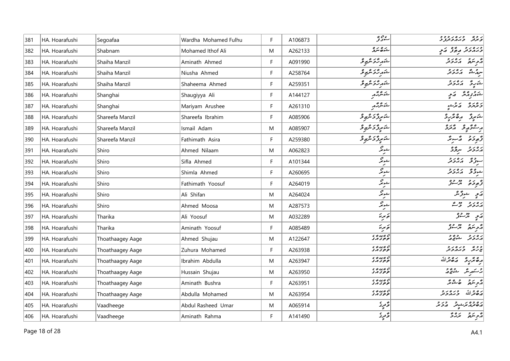| 381 | HA. Hoarafushi | Segoafaa         | Wardha Mohamed Fulhu | F. | A106873 | ے جو بڑ                                       | ر و به دره رووو<br>در سرگر در در در در                  |
|-----|----------------|------------------|----------------------|----|---------|-----------------------------------------------|---------------------------------------------------------|
| 382 | HA. Hoarafushi | Shabnam          | Mohamed Ithof Ali    | M  | A262133 | شەھ بىرە                                      | دره در در په ورځ                                        |
| 383 | HA. Hoarafushi | Shaiha Manzil    | Aminath Ahmed        | F. | A091990 | ىشە <i>ر ئەڭ ئىتى ۋ</i>                       | أأترضع المتحفر                                          |
| 384 | HA. Hoarafushi | Shaiha Manzil    | Niusha Ahmed         | F. | A258764 | ا <sub>شەرىر</sub> ىزى مىنى قى                | سرقرشة<br>ەر دىر                                        |
| 385 | HA. Hoarafushi | Shaiha Manzil    | Shaheema Ahmed       | F  | A259351 | ىشە <i>ر ئەڭ ئىتى بى</i>                      | أحكاريخ المهادوند                                       |
| 386 | HA. Hoarafushi | Shanghai         | Shaugiyya Ali        | F  | A144127 | ے م <i>ترب<sup>ہ</sup> ہ</i> ر                | أختمرتم وكالمحيح وكالمحيج                               |
| 387 | HA. Hoarafushi | Shanghai         | Mariyam Arushee      | F. | A261310 | ے م <i>ترب<sup>ہ</sup> ہ</i> ر                |                                                         |
| 388 | HA. Hoarafushi | Shareefa Manzil  | Shareefa Ibrahim     | F  | A085906 | ىش <i>ە بېرۇ كەنگىنج</i> ى ئى                 | خويرق رەھترىر                                           |
| 389 | HA. Hoarafushi | Shareefa Manzil  | Ismail Adam          | M  | A085907 | ىش <i>تېرۇ دى</i> گىرى<br>                    | و عوصو معره                                             |
| 390 | HA. Hoarafushi | Shareefa Manzil  | Fathimath Asira      | F  | A259380 | دىمبرۇ <i>دى</i> گىرىم                        | وتجوحكم المسبط                                          |
| 391 | HA. Hoarafushi | Shiro            | Ahmed Nilaam         | M  | A062823 | $\overline{\mathscr{L}}$                      | بر ه بر و<br>م <i>ر</i> بر <del>و</del> مر<br>سربۇر     |
| 392 | HA. Hoarafushi | Shiro            | Sifla Ahmed          | F  | A101344 | ه شونتر                                       | سوقرق المماروند                                         |
| 393 | HA. Hoarafushi | Shiro            | Shimla Ahmed         | F  | A260695 | ڪريمر                                         | شوقرقته المرور و                                        |
| 394 | HA. Hoarafushi | Shiro            | Fathimath Yoosuf     | F  | A264019 | حسرتمر                                        | ۇ بەر « دە دە<br>ئۇ بۇ س                                |
| 395 | HA. Hoarafushi | Shiro            | Ali Shifan           | M  | A264024 | شەچە<br>$\overline{\phantom{a}}$              | أەكىم سىرقەشر                                           |
| 396 | HA. Hoarafushi | Shiro            | Ahmed Moosa          | M  | A287573 | حسرتكر                                        | رەرد دىر                                                |
| 397 | HA. Hoarafushi | Tharika          | Ali Yoosuf           | M  | A032289 | ەئبرىئە                                       | $\begin{vmatrix} 0 & 2 & 2 \\ 2 & -2 & 2 \end{vmatrix}$ |
| 398 | HA. Hoarafushi | Tharika          | Aminath Yoosuf       | F. | A085489 | ەئبرىئە                                       | ړې شه د ده وه                                           |
| 399 | HA. Hoarafushi | Thoathaagey Aage | Ahmed Shujau         | M  | A122647 | e sus e<br>og e p                             | رەر د دور<br>مەرد شەق                                   |
| 400 | HA. Hoarafushi | Thoathaagey Aage | Zuhura Mohamed       | F  | A263938 | e suse<br>agene                               | ووي وره رو<br>بح <sup>ر</sup> بگر وبرمرونر              |
| 401 | HA. Hoarafushi | Thoathaagey Aage | Ibrahim Abdulla      | M  | A263947 | 0 پوړ پو پر<br>حوالۍ ترک                      | مەھەمگەيدى ئەھەمداللە                                   |
| 402 | HA. Hoarafushi | Thoathaagey Aage | Hussain Shujau       | M  | A263950 | e s us e<br>a s s a                           | جر سکور مشروع د                                         |
| 403 | HA. Hoarafushi | Thoathaagey Aage | Aminath Bushra       | F  | A263951 | ج ځین ځ ی<br><mark>ح</mark> ومحد <sub>ک</sub> | أرد من المستوفر                                         |
| 404 | HA. Hoarafushi | Thoathaagey Aage | Abdulla Mohamed      | M  | A263954 | ج ځی ځ ی<br>ه دی د د                          | برە تراللە<br>و رە ر د<br>تر پروتر                      |
| 405 | HA. Hoarafushi | Vaadheege        | Abdul Rasheed Umar   | M  | A065914 | ۇ<br>قرىمى                                    | גם כם גבובר ברביב<br>השימה יצייביים הכיב                |
| 406 | HA. Hoarafushi | Vaadheege        | Aminath Rahma        | F. | A141490 | ۇ<br>قرىمېرى                                  | أثرم تره بدره                                           |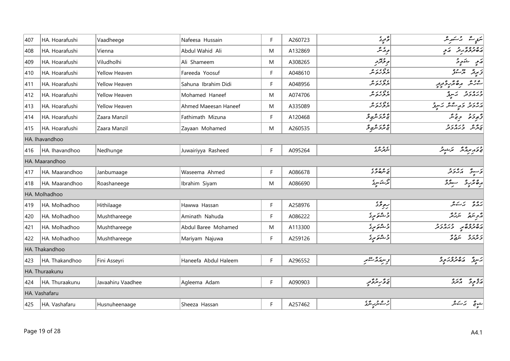| 407 | HA. Hoarafushi | Vaadheege            | Nafeesa Hussain      | F           | A260723 | ۇ<br>قرىپرى                                   | شَعِيتْ بْرْسَىرِيْر                                                |
|-----|----------------|----------------------|----------------------|-------------|---------|-----------------------------------------------|---------------------------------------------------------------------|
| 408 | HA. Hoarafushi | Vienna               | Abdul Wahid Ali      | M           | A132869 | جەمىگە                                        | ره وه د د کمبو<br>مان مرکزه کرد که د                                |
| 409 | HA. Hoarafushi | Viludholhi           | Ali Shameem          | M           | A308265 | وقرقرىر                                       | $\begin{array}{cc} 2 & 2 & 2 \\ 2 & 2 & 2 \\ 3 & 3 & 3 \end{array}$ |
| 410 | HA. Hoarafushi | <b>Yellow Heaven</b> | Fareeda Yoosuf       | F           | A048610 | ، <i>ہے ۔</i><br>درموری                       | ۇيدىگە ئېزىسىۋ                                                      |
| 411 | HA. Hoarafushi | <b>Yellow Heaven</b> | Sahuna Ibrahim Didi  | F           | A048956 | ، <i>ہ ، ، ر</i> ہ<br>مرمور کر                | - دومر مورد ورمز                                                    |
| 412 | HA. Hoarafushi | <b>Yellow Heaven</b> | Mohamed Haneef       | M           | A074706 | ، <i>? ؟ ر</i> ه<br>د نورو نگر                | ورەرو ئەر                                                           |
| 413 | HA. Hoarafushi | <b>Yellow Heaven</b> | Ahmed Maeesan Haneef | M           | A335089 | ، <i>ہے ۔ د</i><br>درمورو س                   | ړه د د پر ځمر ټر                                                    |
| 414 | HA. Hoarafushi | Zaara Manzil         | Fathimath Mizuna     | F           | A120468 | ئج ئر څر شر <sub>مو</sub> څر                  | وتجوخو وجمد                                                         |
| 415 | HA. Hoarafushi | Zaara Manzil         | Zayaan Mohamed       | M           | A260535 | پ <sub>چ</sub> پژ <sub>خر مریج څر</sub>       | ر و در در د<br>په شر د بر د تر                                      |
|     | HA. Ihavandhoo |                      |                      |             |         |                                               |                                                                     |
| 416 | HA. Ihavandhoo | Nedhunge             | Juwairiyya Rasheed   | F           | A095264 | ے و ه ۽<br>سرپرسر <sub>ک</sub>                | י<br>בו מאוד אילי בילי ה                                            |
|     | HA. Maarandhoo |                      |                      |             |         |                                               |                                                                     |
| 417 | HA. Maarandhoo | Janbumaage           | Waseema Ahmed        | $\mathsf F$ | A086678 | ر ه د و و ء<br><mark>ن</mark> سر <i>ه و ی</i> |                                                                     |
| 418 | HA. Maarandhoo | Roashaneege          | Ibrahim Siyam        | M           | A086690 | ە<br>ئىرىشەس <sub>ىي</sub> ر                  |                                                                     |
|     | HA. Molhadhoo  |                      |                      |             |         |                                               |                                                                     |
| 419 | HA. Molhadhoo  | Hithilaage           | Hawwa Hassan         | F           | A258976 | رە ۋى<br>رىر                                  | برەپ برسكىر                                                         |
| 420 | HA. Molhadhoo  | Mushthareege         | Aminath Nahuda       | F           | A086222 | د هم مړي<br>مشوي                              | أأروبتكم المردقر                                                    |
| 421 | HA. Molhadhoo  | Mushthareege         | Abdul Baree Mohamed  | M           | A113300 | د شور سره<br>د شوم سره                        | ره وه پر در در د<br>مصر ده در در در                                 |
| 422 | HA. Molhadhoo  | Mushthareege         | Mariyam Najuwa       | F           | A259126 | ۇ شەھ <sub>كېرى</sub>                         | رەرە بەدە                                                           |
|     | HA. Thakandhoo |                      |                      |             |         |                                               |                                                                     |
| 423 | HA. Thakandhoo | Fini Asseyri         | Haneefa Abdul Haleem | F           | A296552 | و پېرۍ د منځ پر                               | پَسِ پُر مُصْرُوْ پُروِ و                                           |
|     | HA. Thuraakunu |                      |                      |             |         |                                               |                                                                     |
| 424 | HA. Thuraakunu | Javaahiru Vaadhee    | Agleema Adam         | F           | A090903 | ئے قریر ترقی میں                              | پر ویو په ډیره                                                      |
|     | HA. Vashafaru  |                      |                      |             |         |                                               |                                                                     |
| 425 | HA. Vashafaru  | Husnuheenaage        | Sheeza Hassan        | F           | A257462 | ر مشتر <i>پر می</i> گی                        | شویج   برکسکر                                                       |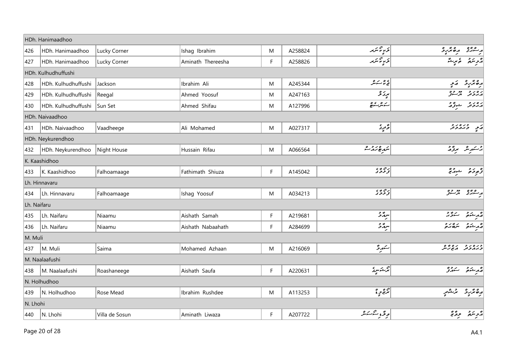|             | HDh. Hanimaadhoo            |                |                   |           |         |                                 |                                                         |  |
|-------------|-----------------------------|----------------|-------------------|-----------|---------|---------------------------------|---------------------------------------------------------|--|
| 426         | HDh. Hanimaadhoo            | Lucky Corner   | Ishaq Ibrahim     | ${\sf M}$ | A258824 | ائەرە ئەتىر<br>__               |                                                         |  |
| 427         | HDh. Hanimaadhoo            | Lucky Corner   | Aminath Thereesha | F         | A258826 | لؤرباء يئبد                     | و مشترق و هندره<br>د مشترق و هندره<br>د د سرق ه نم پیشر |  |
|             | HDh. Kulhudhuffushi         |                |                   |           |         |                                 |                                                         |  |
| 428         | HDh. Kulhudhuffushi         | Jackson        | Ibrahim Ali       | M         | A245344 | ې ۵ په که پې                    | رەتزىر كەير                                             |  |
| 429         | HDh. Kulhudhuffushi         | Reegal         | Ahmed Yoosuf      | M         | A247163 | ابربرقه                         | גם גם בכפי                                              |  |
| 430         | HDh. Kulhudhuffushi Sun Set |                | Ahmed Shifau      | M         | A127996 | سەرمىق                          | أرەر دىنى ئە                                            |  |
|             | HDh. Naivaadhoo             |                |                   |           |         |                                 |                                                         |  |
| 431         | HDh. Naivaadhoo             | Vaadheege      | Ali Mohamed       | ${\sf M}$ | A027317 | ځورئه                           | أمجمع وره رد                                            |  |
|             | HDh. Neykurendhoo           |                |                   |           |         |                                 |                                                         |  |
| 432         | HDh. Neykurendhoo           | Night House    | Hussain Rifau     | M         | A066564 | سَم <i>ع ڪرم</i> ُ ڪ            | برستهر شعروته                                           |  |
|             | K. Kaashidhoo               |                |                   |           |         |                                 |                                                         |  |
| 433         | K. Kaashidhoo               | Falhoamaage    | Fathimath Shiuza  | F         | A145042 | ر <i>0 و ء</i><br>توغرنو تر     | تزجوخهم شورج                                            |  |
|             | Lh. Hinnavaru               |                |                   |           |         |                                 |                                                         |  |
| 434         | Lh. Hinnavaru               | Falhoamaage    | Ishag Yoosuf      | M         | A034213 | ر 0 ره ء<br>توغر <del>و</del> ي | ړ هغه ده ده                                             |  |
| Lh. Naifaru |                             |                |                   |           |         |                                 |                                                         |  |
| 435         | Lh. Naifaru                 | Niaamu         | Aishath Samah     | F         | A219681 | سرمزة                           | وأرشكم سرور                                             |  |
| 436         | Lh. Naifaru                 | Niaamu         | Aishath Nabaahath | F.        | A284699 | سرچمو                           | وگر شوی سره بر د                                        |  |
| M. Muli     |                             |                |                   |           |         |                                 |                                                         |  |
| 437         | M. Muli                     | Saima          | Mohamed Azhaan    | M         | A216069 | سكور                            | ورەرو رەپرە<br>دىرمەدىر مى                              |  |
|             | M. Naalaafushi              |                |                   |           |         |                                 |                                                         |  |
| 438         | M. Naalaafushi              | Roashaneege    | Aishath Saufa     | F         | A220631 | ترىشە بېرىگە                    | ورمشتمو سنهزز                                           |  |
|             | N. Holhudhoo                |                |                   |           |         |                                 |                                                         |  |
| 439         | N. Holhudhoo                | Rose Mead      | Ibrahim Rushdee   | ${\sf M}$ | A113253 | ایر ج ح ع<br>  تریخ ح ع         | ړ ه ټر په په پر شو په                                   |  |
| N. Lhohi    |                             |                |                   |           |         |                                 |                                                         |  |
| 440         | $\vert$ N. Lhohi            | Villa de Sosun | Aminath Liwaza    | F         | A207722 | ا <sub>عوظم</sub> وسمت شده      | ومحر المتمر والمحافي                                    |  |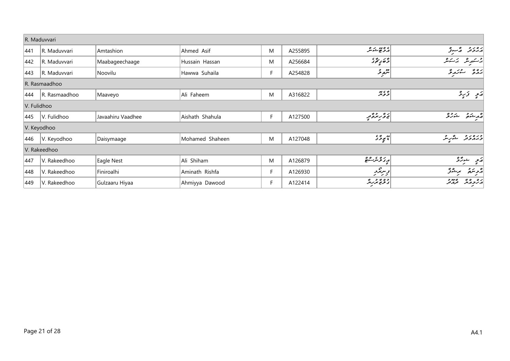|     | R. Maduvvari  |                   |                 |   |         |                                 |                                                  |
|-----|---------------|-------------------|-----------------|---|---------|---------------------------------|--------------------------------------------------|
| 441 | R. Maduvvari  | Amtashion         | Ahmed Asif      | M | A255895 | ء ە ،، ، <u>ە</u>               | پر ۹ پر ۶<br>ە ئەسىرى                            |
| 442 | R. Maduvvari  | Maabageechaage    | Hussain Hassan  | M | A256684 | په دې په په<br>  په کله کارۍ ک  | جرىسە مەھ<br>بە<br>برسەمىر                       |
| 443 | R. Maduvvari  | Noovilu           | Hawwa Suhaila   | F | A254828 | يترهر فحر                       | ر ە بى<br>برادى<br>شەئەر ئى                      |
|     | R. Rasmaadhoo |                   |                 |   |         |                                 |                                                  |
| 444 | R. Rasmaadhoo | Maaveyo           | Ali Faheem      | M | A316822 | یو ۽ بيو<br>حروبر               | ړی زرد                                           |
|     | V. Fulidhoo   |                   |                 |   |         |                                 |                                                  |
| 445 | V. Fulidhoo   | Javaahiru Vaadhee | Aishath Shahula | F | A127500 | ئے قریر ترقی پیر                | أور المراد ويدونهم والمستور                      |
|     | V. Keyodhoo   |                   |                 |   |         |                                 |                                                  |
| 446 | V. Keyodhoo   | Daisymaage        | Mohamed Shaheen | M | A127048 | ،،<br>٤ سٍ تر د                 | و ره ر و<br><i>و پر</i> و تر<br>شەر بىر          |
|     | V. Rakeedhoo  |                   |                 |   |         |                                 |                                                  |
| 447 | V. Rakeedhoo  | Eagle Nest        | Ali Shiham      | M | A126879 | د پرو ۽ ره ۾                    | ړَي شرگرد                                        |
| 448 | V. Rakeedhoo  | Finiroalhi        | Aminath Rishfa  | F | A126930 | $\mathcal{C}$<br>وسريزى<br>シーンジ | ړ د سرچ<br>ىرىشى تۇ                              |
| 449 | V. Rakeedhoo  | Gulzaaru Hiyaa    | Ahmiyya Dawood  | F | A122414 | و ه پر پور پژ<br>د نومځ مرر پژ  | ا ره ده در<br>مرکز در<br><i>, ,, 4</i><br>فريرقر |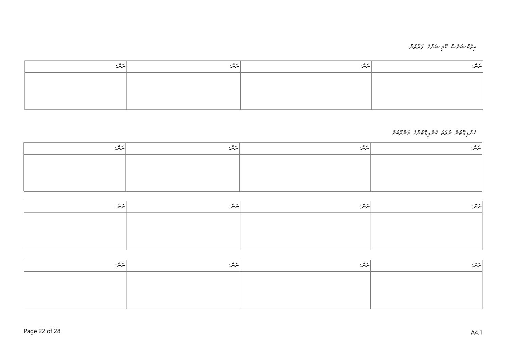## *w7qAn8m? sCw7mRo>u; wEw7mRw;sBo<*

| ' مرمر | 'يئرىثر: |
|--------|----------|
|        |          |
|        |          |
|        |          |

## *w7q9r@w7m> sCw7qHtFoFw7s; mAm=q7 w7qHtFoFw7s;*

| يئرمىش: | $^{\circ}$<br>. سر سر<br>$\cdot$ | $\circ$ $\sim$<br>-- | يئرمثر |
|---------|----------------------------------|----------------------|--------|
|         |                                  |                      |        |
|         |                                  |                      |        |
|         |                                  |                      |        |

| انترنثر: | $^{\circ}$ | يبرهر | $^{\circ}$<br>سرسر |
|----------|------------|-------|--------------------|
|          |            |       |                    |
|          |            |       |                    |
|          |            |       |                    |

| ىرتىر: | 。<br>سر سر | .,<br>مرسر |
|--------|------------|------------|
|        |            |            |
|        |            |            |
|        |            |            |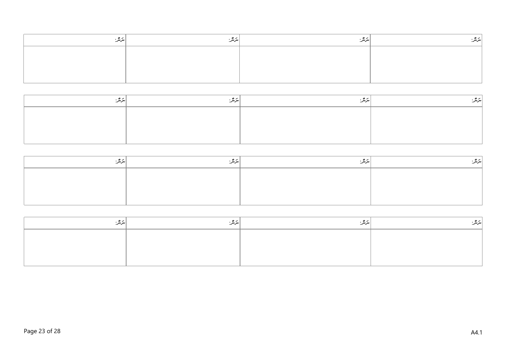| يزهر | $^{\circ}$ | ىئرىتر: |  |
|------|------------|---------|--|
|      |            |         |  |
|      |            |         |  |
|      |            |         |  |

| متريثر به | 。<br>'سرسر'۔ | يتزيترا | سرسر |
|-----------|--------------|---------|------|
|           |              |         |      |
|           |              |         |      |
|           |              |         |      |

| ىئرىتر. | $\sim$ | ا بر هه. | لىرىش |
|---------|--------|----------|-------|
|         |        |          |       |
|         |        |          |       |
|         |        |          |       |

| 。<br>مرس. | $\overline{\phantom{a}}$<br>مر مىر | يتريثر |
|-----------|------------------------------------|--------|
|           |                                    |        |
|           |                                    |        |
|           |                                    |        |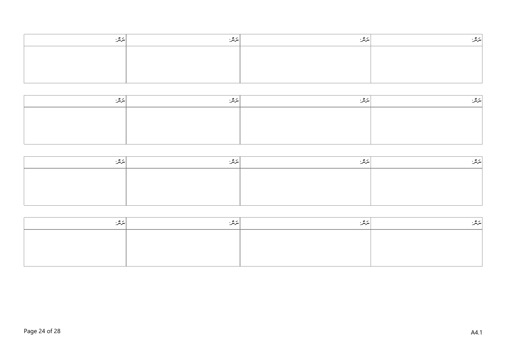| ير هو . | $\overline{\phantom{a}}$ | يرمر | اير هنه. |
|---------|--------------------------|------|----------|
|         |                          |      |          |
|         |                          |      |          |
|         |                          |      |          |

| ىر تىر: | $\circ$ $\sim$<br>" سرسر . | يبرحه | o . |
|---------|----------------------------|-------|-----|
|         |                            |       |     |
|         |                            |       |     |
|         |                            |       |     |

| الترنثر: | ' مرتكز: | الترنثر: | .,<br>سرسر. |
|----------|----------|----------|-------------|
|          |          |          |             |
|          |          |          |             |
|          |          |          |             |

|  | . ه |
|--|-----|
|  |     |
|  |     |
|  |     |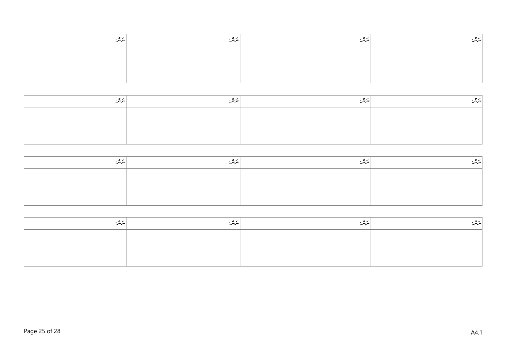| ير هو . | $\overline{\phantom{a}}$ | يرمر | اير هنه. |
|---------|--------------------------|------|----------|
|         |                          |      |          |
|         |                          |      |          |
|         |                          |      |          |

| ىر تىر: | $\circ$ $\sim$<br>" سرسر . | يبرحه | o . |
|---------|----------------------------|-------|-----|
|         |                            |       |     |
|         |                            |       |     |
|         |                            |       |     |

| 'تترنثر: | 。<br>,,,, |  |
|----------|-----------|--|
|          |           |  |
|          |           |  |
|          |           |  |

|  | . ه |
|--|-----|
|  |     |
|  |     |
|  |     |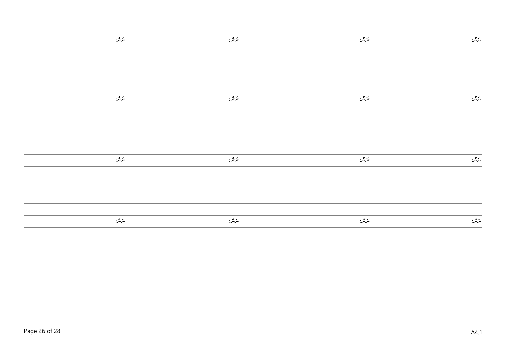| $\cdot$ | ο. | $\frac{\circ}{\cdot}$ | $\sim$<br>سرسر |
|---------|----|-----------------------|----------------|
|         |    |                       |                |
|         |    |                       |                |
|         |    |                       |                |

| ايرعر: | ر ه<br>. . |  |
|--------|------------|--|
|        |            |  |
|        |            |  |
|        |            |  |

| بر ه | 。 | $\overline{\phantom{0}}$<br>َ سومس. |  |
|------|---|-------------------------------------|--|
|      |   |                                     |  |
|      |   |                                     |  |
|      |   |                                     |  |

| 。<br>. س | ىرىىر |  |
|----------|-------|--|
|          |       |  |
|          |       |  |
|          |       |  |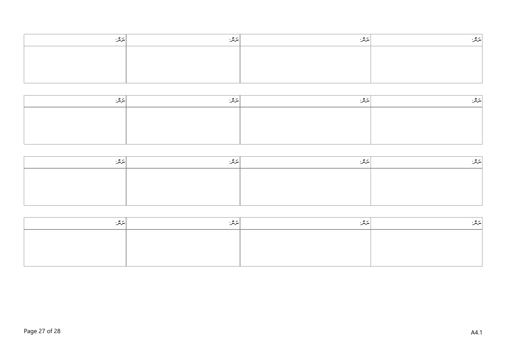| ير هو . | $\overline{\phantom{a}}$ | يرمر | لتزمثن |
|---------|--------------------------|------|--------|
|         |                          |      |        |
|         |                          |      |        |
|         |                          |      |        |

| ئىرتىر: | $\sim$<br>ا سرسر . | يئرمثر | o . |
|---------|--------------------|--------|-----|
|         |                    |        |     |
|         |                    |        |     |
|         |                    |        |     |

| ىئرىتىز: | . .<br>سمرسمد. | 。 |
|----------|----------------|---|
|          |                |   |
|          |                |   |
|          |                |   |

|  | . ه |
|--|-----|
|  |     |
|  |     |
|  |     |